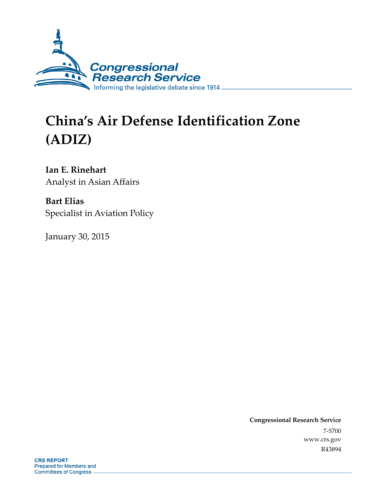

# **China's Air Defense Identification Zone (ADIZ)**

**Ian E. Rinehart**  Analyst in Asian Affairs

**Bart Elias**  Specialist in Aviation Policy

January 30, 2015

**Congressional Research Service**  7-5700 www.crs.gov R43894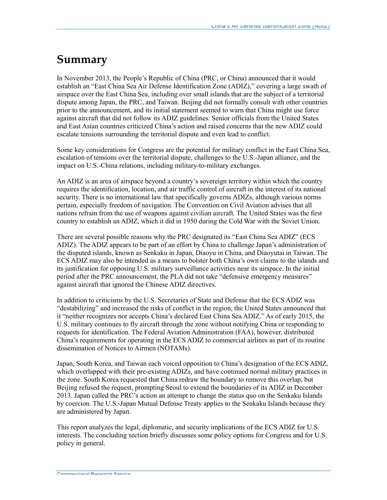# **Summary**

In November 2013, the People's Republic of China (PRC, or China) announced that it would establish an "East China Sea Air Defense Identification Zone (ADIZ)," covering a large swath of airspace over the East China Sea, including over small islands that are the subject of a territorial dispute among Japan, the PRC, and Taiwan. Beijing did not formally consult with other countries prior to the announcement, and its initial statement seemed to warn that China might use force against aircraft that did not follow its ADIZ guidelines. Senior officials from the United States and East Asian countries criticized China's action and raised concerns that the new ADIZ could escalate tensions surrounding the territorial dispute and even lead to conflict.

Some key considerations for Congress are the potential for military conflict in the East China Sea, escalation of tensions over the territorial dispute, challenges to the U.S.-Japan alliance, and the impact on U.S.-China relations, including military-to-military exchanges.

An ADIZ is an area of airspace beyond a country's sovereign territory within which the country requires the identification, location, and air traffic control of aircraft in the interest of its national security. There is no international law that specifically governs ADIZs, although various norms pertain, especially freedom of navigation. The Convention on Civil Aviation advises that all nations refrain from the use of weapons against civilian aircraft. The United States was the first country to establish an ADIZ, which it did in 1950 during the Cold War with the Soviet Union.

There are several possible reasons why the PRC designated its "East China Sea ADIZ" (ECS ADIZ). The ADIZ appears to be part of an effort by China to challenge Japan's administration of the disputed islands, known as Senkaku in Japan, Diaoyu in China, and Diaoyutai in Taiwan. The ECS ADIZ may also be intended as a means to bolster both China's own claims to the islands and its justification for opposing U.S. military surveillance activities near its airspace. In the initial period after the PRC announcement, the PLA did not take "defensive emergency measures" against aircraft that ignored the Chinese ADIZ directives.

In addition to criticisms by the U.S. Secretaries of State and Defense that the ECS ADIZ was "destabilizing" and increased the risks of conflict in the region, the United States announced that it "neither recognizes nor accepts China's declared East China Sea ADIZ." As of early 2015, the U.S. military continues to fly aircraft through the zone without notifying China or responding to requests for identification. The Federal Aviation Administration (FAA), however, distributed China's requirements for operating in the ECS ADIZ to commercial airlines as part of its routine dissemination of Notices to Airmen (NOTAMs).

Japan, South Korea, and Taiwan each voiced opposition to China's designation of the ECS ADIZ, which overlapped with their pre-existing ADIZs, and have continued normal military practices in the zone. South Korea requested that China redraw the boundary to remove this overlap, but Beijing refused the request, prompting Seoul to extend the boundaries of its ADIZ in December 2013. Japan called the PRC's action an attempt to change the status quo on the Senkaku Islands by coercion. The U.S.-Japan Mutual Defense Treaty applies to the Senkaku Islands because they are administered by Japan.

This report analyzes the legal, diplomatic, and security implications of the ECS ADIZ for U.S. interests. The concluding section briefly discusses some policy options for Congress and for U.S. policy in general.

Congressional Desearch Service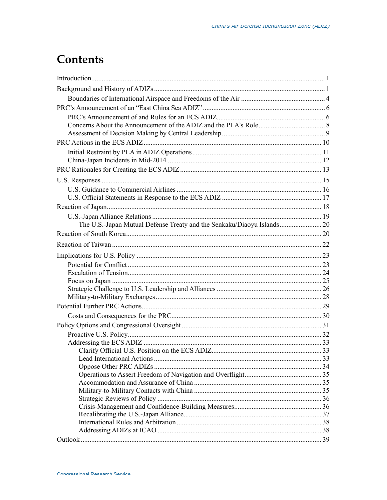# **Contents**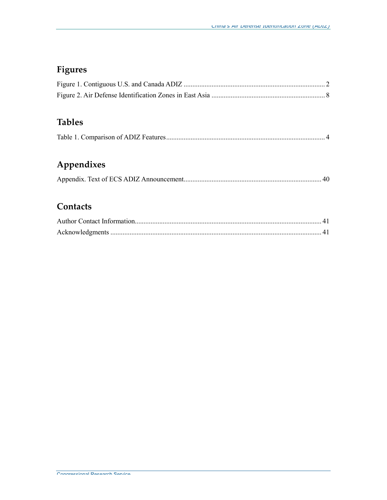### **Figures**

### **Tables**

|--|--|

# **Appendixes**

### **Contacts**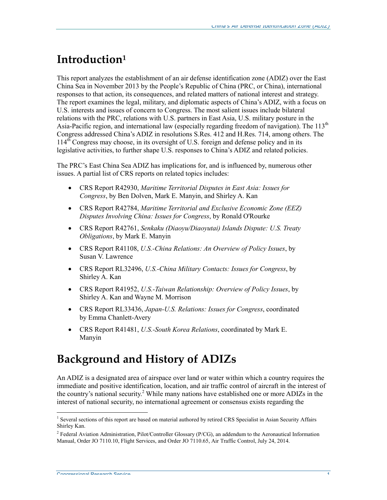# **Introduction1**

This report analyzes the establishment of an air defense identification zone (ADIZ) over the East China Sea in November 2013 by the People's Republic of China (PRC, or China), international responses to that action, its consequences, and related matters of national interest and strategy. The report examines the legal, military, and diplomatic aspects of China's ADIZ, with a focus on U.S. interests and issues of concern to Congress. The most salient issues include bilateral relations with the PRC, relations with U.S. partners in East Asia, U.S. military posture in the Asia-Pacific region, and international law (especially regarding freedom of navigation). The  $113<sup>th</sup>$ Congress addressed China's ADIZ in resolutions S.Res. 412 and H.Res. 714, among others. The  $114<sup>th</sup>$  Congress may choose, in its oversight of U.S. foreign and defense policy and in its legislative activities, to further shape U.S. responses to China's ADIZ and related policies.

The PRC's East China Sea ADIZ has implications for, and is influenced by, numerous other issues. A partial list of CRS reports on related topics includes:

- CRS Report R42930, *Maritime Territorial Disputes in East Asia: Issues for Congress*, by Ben Dolven, Mark E. Manyin, and Shirley A. Kan
- CRS Report R42784, *Maritime Territorial and Exclusive Economic Zone (EEZ) Disputes Involving China: Issues for Congress*, by Ronald O'Rourke
- CRS Report R42761, *Senkaku (Diaoyu/Diaoyutai) Islands Dispute: U.S. Treaty Obligations*, by Mark E. Manyin
- CRS Report R41108, *U.S.-China Relations: An Overview of Policy Issues*, by Susan V. Lawrence
- CRS Report RL32496, *U.S.-China Military Contacts: Issues for Congress*, by Shirley A. Kan
- CRS Report R41952, *U.S.-Taiwan Relationship: Overview of Policy Issues*, by Shirley A. Kan and Wayne M. Morrison
- CRS Report RL33436, *Japan-U.S. Relations: Issues for Congress*, coordinated by Emma Chanlett-Avery
- CRS Report R41481, *U.S.-South Korea Relations*, coordinated by Mark E. Manyin

# **Background and History of ADIZs**

An ADIZ is a designated area of airspace over land or water within which a country requires the immediate and positive identification, location, and air traffic control of aircraft in the interest of the country's national security.<sup>2</sup> While many nations have established one or more ADIZs in the interest of national security, no international agreement or consensus exists regarding the

<sup>&</sup>lt;sup>1</sup> Several sections of this report are based on material authored by retired CRS Specialist in Asian Security Affairs Shirley Kan.

<sup>&</sup>lt;sup>2</sup> Federal Aviation Administration, Pilot/Controller Glossary (P/CG), an addendum to the Aeronautical Information Manual, Order JO 7110.10, Flight Services, and Order JO 7110.65, Air Traffic Control, July 24, 2014.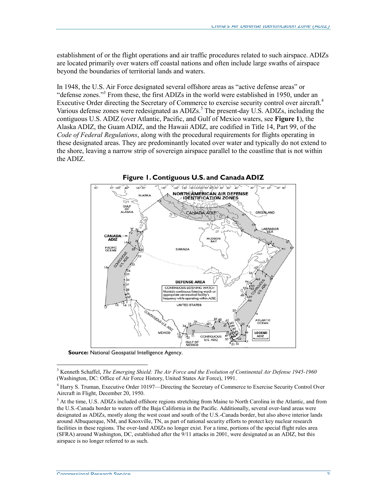establishment of or the flight operations and air traffic procedures related to such airspace. ADIZs are located primarily over waters off coastal nations and often include large swaths of airspace beyond the boundaries of territorial lands and waters.

In 1948, the U.S. Air Force designated several offshore areas as "active defense areas" or "defense zones."<sup>3</sup> From these, the first ADIZs in the world were established in 1950, under an Executive Order directing the Secretary of Commerce to exercise security control over aircraft.<sup>4</sup> Various defense zones were redesignated as ADIZs.<sup>5</sup> The present-day U.S. ADIZs, including the contiguous U.S. ADIZ (over Atlantic, Pacific, and Gulf of Mexico waters, see **Figure 1**), the Alaska ADIZ, the Guam ADIZ, and the Hawaii ADIZ, are codified in Title 14, Part 99, of the *Code of Federal Regulations*, along with the procedural requirements for flights operating in these designated areas. They are predominantly located over water and typically do not extend to the shore, leaving a narrow strip of sovereign airspace parallel to the coastline that is not within the ADIZ.



**Source:** National Geospatial Intelligence Agency.

<sup>&</sup>lt;sup>3</sup> Kenneth Schaffel, *The Emerging Shield: The Air Force and the Evolution of Continental Air Defense 1945-1960* (Washington, DC: Office of Air Force History, United States Air Force), 1991.

<sup>4</sup> Harry S. Truman, Executive Order 10197—Directing the Secretary of Commerce to Exercise Security Control Over Aircraft in Flight, December 20, 1950.

<sup>&</sup>lt;sup>5</sup> At the time, U.S. ADIZs included offshore regions stretching from Maine to North Carolina in the Atlantic, and from the U.S.-Canada border to waters off the Baja California in the Pacific. Additionally, several over-land areas were designated as ADIZs, mostly along the west coast and south of the U.S.-Canada border, but also above interior lands around Albuquerque, NM, and Knoxville, TN, as part of national security efforts to protect key nuclear research facilities in these regions. The over-land ADIZs no longer exist. For a time, portions of the special flight rules area (SFRA) around Washington, DC, established after the 9/11 attacks in 2001, were designated as an ADIZ, but this airspace is no longer referred to as such.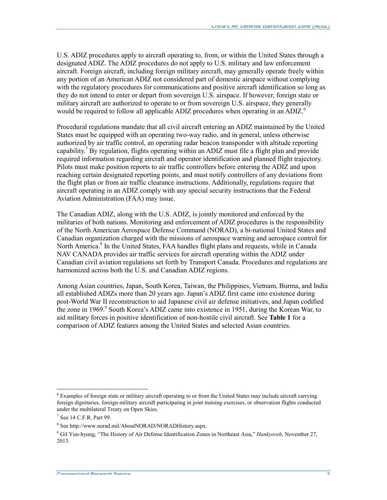U.S. ADIZ procedures apply to aircraft operating to, from, or within the United States through a designated ADIZ. The ADIZ procedures do not apply to U.S. military and law enforcement aircraft. Foreign aircraft, including foreign military aircraft, may generally operate freely within any portion of an American ADIZ not considered part of domestic airspace without complying with the regulatory procedures for communications and positive aircraft identification so long as they do not intend to enter or depart from sovereign U.S. airspace. If however, foreign state or military aircraft are authorized to operate to or from sovereign U.S. airspace, they generally would be required to follow all applicable ADIZ procedures when operating in an ADIZ.<sup>6</sup>

Procedural regulations mandate that all civil aircraft entering an ADIZ maintained by the United States must be equipped with an operating two-way radio, and in general, unless otherwise authorized by air traffic control, an operating radar beacon transponder with altitude reporting capability.<sup>7</sup> By regulation, flights operating within an ADIZ must file a flight plan and provide required information regarding aircraft and operator identification and planned flight trajectory. Pilots must make position reports to air traffic controllers before entering the ADIZ and upon reaching certain designated reporting points, and must notify controllers of any deviations from the flight plan or from air traffic clearance instructions. Additionally, regulations require that aircraft operating in an ADIZ comply with any special security instructions that the Federal Aviation Administration (FAA) may issue.

The Canadian ADIZ, along with the U.S. ADIZ, is jointly monitored and enforced by the militaries of both nations. Monitoring and enforcement of ADIZ procedures is the responsibility of the North American Aerospace Defense Command (NORAD), a bi-national United States and Canadian organization charged with the missions of aerospace warning and aerospace control for North America.<sup>8</sup> In the United States, FAA handles flight plans and requests, while in Canada NAV CANADA provides air traffic services for aircraft operating within the ADIZ under Canadian civil aviation regulations set forth by Transport Canada. Procedures and regulations are harmonized across both the U.S. and Canadian ADIZ regions.

Among Asian countries, Japan, South Korea, Taiwan, the Philippines, Vietnam, Burma, and India all established ADIZs more than 20 years ago. Japan's ADIZ first came into existence during post-World War II reconstruction to aid Japanese civil air defense initiatives, and Japan codified the zone in 1969.<sup>9</sup> South Korea's ADIZ came into existence in 1951, during the Korean War, to aid military forces in positive identification of non-hostile civil aircraft. See **Table 1** for a comparison of ADIZ features among the United States and selected Asian countries.

Examples of foreign state or military aircraft operating to or from the United States may include aircraft carrying foreign dignitaries, foreign military aircraft participating in joint training exercises, or observation flights conducted under the multilateral Treaty on Open Skies.

 $7$  See 14 C.F.R. Part 99.

<sup>8</sup> See http://www.norad.mil/AboutNORAD/NORADHistory.aspx.

<sup>9</sup> Gil Yun-hyung, "The History of Air Defense Identification Zones in Northeast Asia," *Hankyoreh*, November 27, 2013.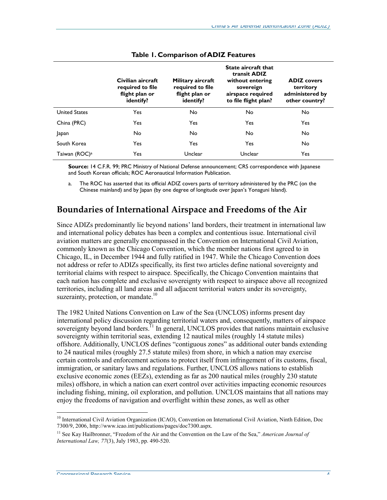|                           | Civilian aircraft<br>required to file<br>flight plan or<br>identify? | Military aircraft<br>required to file<br>flight plan or<br>identify? | <b>State aircraft that</b><br>transit ADIZ<br>without entering<br>sovereign<br>airspace required<br>to file flight plan? | <b>ADIZ covers</b><br>territory<br>administered by<br>other country? |
|---------------------------|----------------------------------------------------------------------|----------------------------------------------------------------------|--------------------------------------------------------------------------------------------------------------------------|----------------------------------------------------------------------|
| <b>United States</b>      | Yes                                                                  | No.                                                                  | No                                                                                                                       | No.                                                                  |
| China (PRC)               | Yes                                                                  | <b>Yes</b>                                                           | Yes                                                                                                                      | Yes                                                                  |
| Japan                     | No                                                                   | No                                                                   | No                                                                                                                       | No.                                                                  |
| South Korea               | Yes                                                                  | <b>Yes</b>                                                           | Yes                                                                                                                      | No.                                                                  |
| Taiwan (ROC) <sup>a</sup> | Yes                                                                  | Unclear                                                              | Unclear                                                                                                                  | <b>Yes</b>                                                           |

#### **Table 1. Comparison of ADIZ Features**

**Source:** 14 C.F.R. 99; PRC Ministry of National Defense announcement; CRS correspondence with Japanese and South Korean officials; ROC Aeronautical Information Publication.

a. The ROC has asserted that its official ADIZ covers parts of territory administered by the PRC (on the Chinese mainland) and by Japan (by one degree of longitude over Japan's Yonaguni Island).

#### **Boundaries of International Airspace and Freedoms of the Air**

Since ADIZs predominantly lie beyond nations' land borders, their treatment in international law and international policy debates has been a complex and contentious issue. International civil aviation matters are generally encompassed in the Convention on International Civil Aviation, commonly known as the Chicago Convention, which the member nations first agreed to in Chicago, IL, in December 1944 and fully ratified in 1947. While the Chicago Convention does not address or refer to ADIZs specifically, its first two articles define national sovereignty and territorial claims with respect to airspace. Specifically, the Chicago Convention maintains that each nation has complete and exclusive sovereignty with respect to airspace above all recognized territories, including all land areas and all adjacent territorial waters under its sovereignty, suzerainty, protection, or mandate. $10$ 

The 1982 United Nations Convention on Law of the Sea (UNCLOS) informs present day international policy discussion regarding territorial waters and, consequently, matters of airspace sovereignty beyond land borders.<sup>11</sup> In general, UNCLOS provides that nations maintain exclusive sovereignty within territorial seas, extending 12 nautical miles (roughly 14 statute miles) offshore. Additionally, UNCLOS defines "contiguous zones" as additional outer bands extending to 24 nautical miles (roughly 27.5 statute miles) from shore, in which a nation may exercise certain controls and enforcement actions to protect itself from infringement of its customs, fiscal, immigration, or sanitary laws and regulations. Further, UNCLOS allows nations to establish exclusive economic zones (EEZs), extending as far as 200 nautical miles (roughly 230 statute miles) offshore, in which a nation can exert control over activities impacting economic resources including fishing, mining, oil exploration, and pollution. UNCLOS maintains that all nations may enjoy the freedoms of navigation and overflight within these zones, as well as other

<sup>&</sup>lt;sup>10</sup> International Civil Aviation Organization (ICAO), Convention on International Civil Aviation, Ninth Edition, Doc 7300/9, 2006, http://www.icao.int/publications/pages/doc7300.aspx.

<sup>&</sup>lt;sup>11</sup> See Kay Hailbronner, "Freedom of the Air and the Convention on the Law of the Sea," American Journal of *International Law, 77*(3), July 1983, pp. 490-520.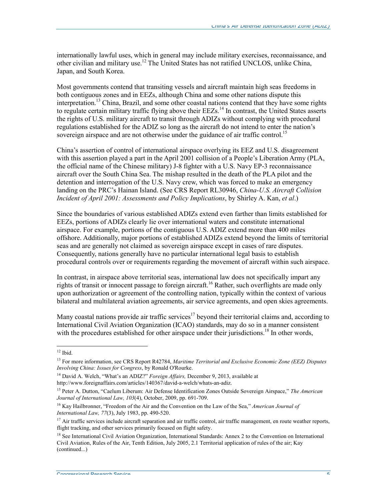internationally lawful uses, which in general may include military exercises, reconnaissance, and other civilian and military use.12 The United States has not ratified UNCLOS, unlike China, Japan, and South Korea.

Most governments contend that transiting vessels and aircraft maintain high seas freedoms in both contiguous zones and in EEZs, although China and some other nations dispute this interpretation.<sup>13</sup> China, Brazil, and some other coastal nations contend that they have some rights to regulate certain military traffic flying above their EEZs.<sup>14</sup> In contrast, the United States asserts the rights of U.S. military aircraft to transit through ADIZs without complying with procedural regulations established for the ADIZ so long as the aircraft do not intend to enter the nation's sovereign airspace and are not otherwise under the guidance of air traffic control.<sup>15</sup>

China's assertion of control of international airspace overlying its EEZ and U.S. disagreement with this assertion played a part in the April 2001 collision of a People's Liberation Army (PLA, the official name of the Chinese military) J-8 fighter with a U.S. Navy EP-3 reconnaissance aircraft over the South China Sea. The mishap resulted in the death of the PLA pilot and the detention and interrogation of the U.S. Navy crew, which was forced to make an emergency landing on the PRC's Hainan Island. (See CRS Report RL30946, *China-U.S. Aircraft Collision Incident of April 2001: Assessments and Policy Implications*, by Shirley A. Kan, *et al*.)

Since the boundaries of various established ADIZs extend even farther than limits established for EEZs, portions of ADIZs clearly lie over international waters and constitute international airspace. For example, portions of the contiguous U.S. ADIZ extend more than 400 miles offshore. Additionally, major portions of established ADIZs extend beyond the limits of territorial seas and are generally not claimed as sovereign airspace except in cases of rare disputes. Consequently, nations generally have no particular international legal basis to establish procedural controls over or requirements regarding the movement of aircraft within such airspace.

In contrast, in airspace above territorial seas, international law does not specifically impart any rights of transit or innocent passage to foreign aircraft.<sup>16</sup> Rather, such overflights are made only upon authorization or agreement of the controlling nation, typically within the context of various bilateral and multilateral aviation agreements, air service agreements, and open skies agreements.

Many coastal nations provide air traffic services<sup>17</sup> beyond their territorial claims and, according to International Civil Aviation Organization (ICAO) standards, may do so in a manner consistent with the procedures established for other airspace under their jurisdictions.<sup>18</sup> In other words,

 $12$  Ibid.

<sup>13</sup> For more information, see CRS Report R42784, *Maritime Territorial and Exclusive Economic Zone (EEZ) Disputes Involving China: Issues for Congress*, by Ronald O'Rourke.

<sup>14</sup> David A. Welch, "What's an ADIZ?" *Foreign Affairs,* December 9, 2013, available at http://www.foreignaffairs.com/articles/140367/david-a-welch/whats-an-adiz.

<sup>15</sup> Peter A. Dutton, "Caelum Liberum: Air Defense Identification Zones Outside Sovereign Airspace," *The American Journal of International Law, 103*(4), October, 2009, pp. 691-709.

<sup>16</sup> Kay Hailbronner, "Freedom of the Air and the Convention on the Law of the Sea," *American Journal of International Law, 77*(3), July 1983, pp. 490-520.

 $17$  Air traffic services include aircraft separation and air traffic control, air traffic management, en route weather reports, flight tracking, and other services primarily focused on flight safety.

<sup>&</sup>lt;sup>18</sup> See International Civil Aviation Organization, International Standards: Annex 2 to the Convention on International Civil Aviation, Rules of the Air, Tenth Edition, July 2005, 2.1 Territorial application of rules of the air; Kay (continued...)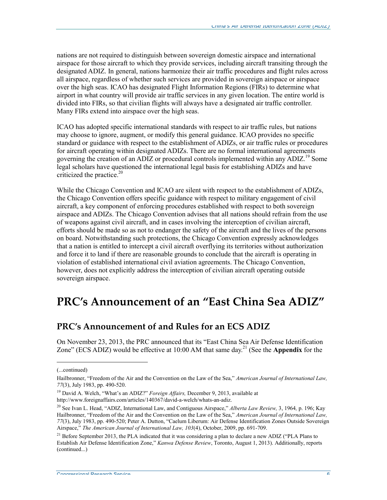nations are not required to distinguish between sovereign domestic airspace and international airspace for those aircraft to which they provide services, including aircraft transiting through the designated ADIZ. In general, nations harmonize their air traffic procedures and flight rules across all airspace, regardless of whether such services are provided in sovereign airspace or airspace over the high seas. ICAO has designated Flight Information Regions (FIRs) to determine what airport in what country will provide air traffic services in any given location. The entire world is divided into FIRs, so that civilian flights will always have a designated air traffic controller. Many FIRs extend into airspace over the high seas.

ICAO has adopted specific international standards with respect to air traffic rules, but nations may choose to ignore, augment, or modify this general guidance. ICAO provides no specific standard or guidance with respect to the establishment of ADIZs, or air traffic rules or procedures for aircraft operating within designated ADIZs. There are no formal international agreements governing the creation of an ADIZ or procedural controls implemented within any ADIZ.<sup>19</sup> Some legal scholars have questioned the international legal basis for establishing ADIZs and have criticized the practice. $20$ 

While the Chicago Convention and ICAO are silent with respect to the establishment of ADIZs, the Chicago Convention offers specific guidance with respect to military engagement of civil aircraft, a key component of enforcing procedures established with respect to both sovereign airspace and ADIZs. The Chicago Convention advises that all nations should refrain from the use of weapons against civil aircraft, and in cases involving the interception of civilian aircraft, efforts should be made so as not to endanger the safety of the aircraft and the lives of the persons on board. Notwithstanding such protections, the Chicago Convention expressly acknowledges that a nation is entitled to intercept a civil aircraft overflying its territories without authorization and force it to land if there are reasonable grounds to conclude that the aircraft is operating in violation of established international civil aviation agreements. The Chicago Convention, however, does not explicitly address the interception of civilian aircraft operating outside sovereign airspace.

# **PRC's Announcement of an "East China Sea ADIZ"**

#### **PRC's Announcement of and Rules for an ECS ADIZ**

On November 23, 2013, the PRC announced that its "East China Sea Air Defense Identification Zone" (ECS ADIZ) would be effective at 10:00 AM that same day.<sup>21</sup> (See the **Appendix** for the

 $\overline{a}$ 

<sup>(...</sup>continued)

Hailbronner, "Freedom of the Air and the Convention on the Law of the Sea," *American Journal of International Law, 77*(3), July 1983, pp. 490-520.

<sup>19</sup> David A. Welch, "What's an ADIZ?" *Foreign Affairs,* December 9, 2013, available at http://www.foreignaffairs.com/articles/140367/david-a-welch/whats-an-adiz.

<sup>20</sup> See Ivan L. Head, "ADIZ, International Law, and Contiguous Airspace," *Alberta Law Review,* 3, 1964*,* p. 196; Kay Hailbronner, "Freedom of the Air and the Convention on the Law of the Sea," *American Journal of International Law, 77*(3), July 1983, pp. 490-520; Peter A. Dutton, "Caelum Liberum: Air Defense Identification Zones Outside Sovereign Airspace," *The American Journal of International Law, 103*(4), October, 2009, pp. 691-709.

<sup>&</sup>lt;sup>21</sup> Before September 2013, the PLA indicated that it was considering a plan to declare a new ADIZ ("PLA Plans to Establish Air Defense Identification Zone," *Kanwa Defense Review*, Toronto, August 1, 2013). Additionally, reports (continued...)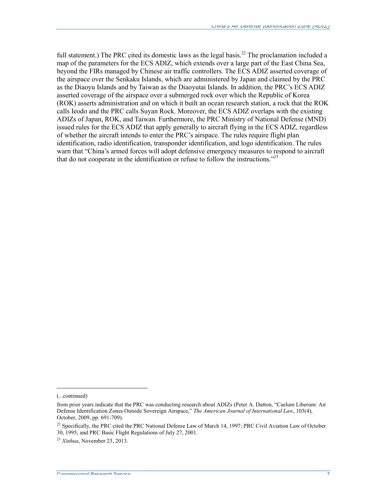full statement.) The PRC cited its domestic laws as the legal basis.<sup>22</sup> The proclamation included a map of the parameters for the ECS ADIZ, which extends over a large part of the East China Sea, beyond the FIRs managed by Chinese air traffic controllers. The ECS ADIZ asserted coverage of the airspace over the Senkaku Islands, which are administered by Japan and claimed by the PRC as the Diaoyu Islands and by Taiwan as the Diaoyutai Islands. In addition, the PRC's ECS ADIZ asserted coverage of the airspace over a submerged rock over which the Republic of Korea (ROK) asserts administration and on which it built an ocean research station, a rock that the ROK calls Ieodo and the PRC calls Suyan Rock. Moreover, the ECS ADIZ overlaps with the existing ADIZs of Japan, ROK, and Taiwan. Furthermore, the PRC Ministry of National Defense (MND) issued rules for the ECS ADIZ that apply generally to aircraft flying in the ECS ADIZ, regardless of whether the aircraft intends to enter the PRC's airspace. The rules require flight plan identification, radio identification, transponder identification, and logo identification. The rules warn that "China's armed forces will adopt defensive emergency measures to respond to aircraft that do not cooperate in the identification or refuse to follow the instructions.<sup> $23$ </sup>

<sup>(...</sup>continued)

from prior years indicate that the PRC was conducting research about ADIZs (Peter A. Dutton, "Caelum Liberum: Air Defense Identification Zones Outside Sovereign Airspace," *The American Journal of International Law*, 103(4), October, 2009, pp. 691-709).

<sup>&</sup>lt;sup>22</sup> Specifically, the PRC cited the PRC National Defense Law of March 14, 1997; PRC Civil Aviation Law of October 30, 1995; and PRC Basic Flight Regulations of July 27, 2001.

<sup>23</sup> *Xinhua*, November 23, 2013.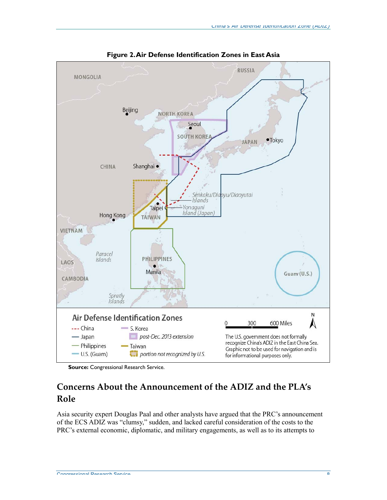

**Figure 2. Air Defense Identification Zones in East Asia** 

**Source:** Congressional Research Service.

### **Concerns About the Announcement of the ADIZ and the PLA's Role**

Asia security expert Douglas Paal and other analysts have argued that the PRC's announcement of the ECS ADIZ was "clumsy," sudden, and lacked careful consideration of the costs to the PRC's external economic, diplomatic, and military engagements, as well as to its attempts to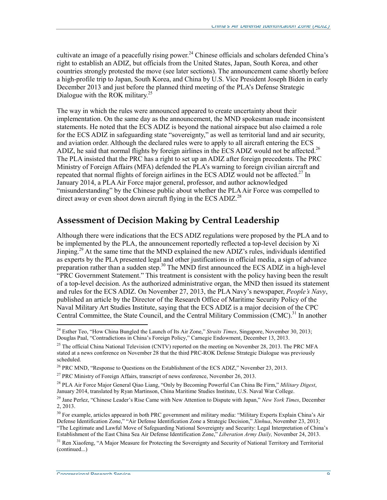cultivate an image of a peacefully rising power.<sup>24</sup> Chinese officials and scholars defended China's right to establish an ADIZ, but officials from the United States, Japan, South Korea, and other countries strongly protested the move (see later sections). The announcement came shortly before a high-profile trip to Japan, South Korea, and China by U.S. Vice President Joseph Biden in early December 2013 and just before the planned third meeting of the PLA's Defense Strategic Dialogue with the ROK military.<sup>25</sup>

The way in which the rules were announced appeared to create uncertainty about their implementation. On the same day as the announcement, the MND spokesman made inconsistent statements. He noted that the ECS ADIZ is beyond the national airspace but also claimed a role for the ECS ADIZ in safeguarding state "sovereignty," as well as territorial land and air security, and aviation order. Although the declared rules were to apply to all aircraft entering the ECS ADIZ, he said that normal flights by foreign airlines in the ECS ADIZ would not be affected.<sup>26</sup> The PLA insisted that the PRC has a right to set up an ADIZ after foreign precedents. The PRC Ministry of Foreign Affairs (MFA) defended the PLA's warning to foreign civilian aircraft and repeated that normal flights of foreign airlines in the ECS ADIZ would not be affected.<sup>27</sup> In January 2014, a PLA Air Force major general, professor, and author acknowledged "misunderstanding" by the Chinese public about whether the PLA Air Force was compelled to direct away or even shoot down aircraft flying in the ECS ADIZ.<sup>28</sup>

### **Assessment of Decision Making by Central Leadership**

Although there were indications that the ECS ADIZ regulations were proposed by the PLA and to be implemented by the PLA, the announcement reportedly reflected a top-level decision by Xi Jinping.<sup>29</sup> At the same time that the MND explained the new ADIZ's rules, individuals identified as experts by the PLA presented legal and other justifications in official media, a sign of advance preparation rather than a sudden step.<sup>30</sup> The MND first announced the ECS ADIZ in a high-level "PRC Government Statement." This treatment is consistent with the policy having been the result of a top-level decision. As the authorized administrative organ, the MND then issued its statement and rules for the ECS ADIZ. On November 27, 2013, the PLA Navy's newspaper, *People's Navy*, published an article by the Director of the Research Office of Maritime Security Policy of the Naval Military Art Studies Institute, saying that the ECS ADIZ is a major decision of the CPC Central Committee, the State Council, and the Central Military Commission (CMC).<sup>31</sup> In another

<sup>24</sup> Esther Teo, "How China Bungled the Launch of Its Air Zone," *Straits Times*, Singapore, November 30, 2013; Douglas Paal, "Contradictions in China's Foreign Policy," Carnegie Endowment, December 13, 2013.

<sup>&</sup>lt;sup>25</sup> The official China National Television (CNTV) reported on the meeting on November 28, 2013. The PRC MFA stated at a news conference on November 28 that the third PRC-ROK Defense Strategic Dialogue was previously scheduled.

<sup>&</sup>lt;sup>26</sup> PRC MND, "Response to Questions on the Establishment of the ECS ADIZ," November 23, 2013.

<sup>&</sup>lt;sup>27</sup> PRC Ministry of Foreign Affairs, transcript of news conference, November 26, 2013.

<sup>28</sup> PLA Air Force Major General Qiao Liang, "Only by Becoming Powerful Can China Be Firm," *Military Digest*, January 2014, translated by Ryan Martinson, China Maritime Studies Institute, U.S. Naval War College.

<sup>29</sup> Jane Perlez, "Chinese Leader's Rise Came with New Attention to Dispute with Japan," *New York Times*, December 2, 2013.

<sup>&</sup>lt;sup>30</sup> For example, articles appeared in both PRC government and military media: "Military Experts Explain China's Air Defense Identification Zone," "Air Defense Identification Zone a Strategic Decision," *Xinhua*, November 23, 2013; "The Legitimate and Lawful Move of Safeguarding National Sovereignty and Security: Legal Interpretation of China's Establishment of the East China Sea Air Defense Identification Zone," *Liberation Army Daily,* November 24, 2013.

<sup>&</sup>lt;sup>31</sup> Ren Xiaofeng, "A Major Measure for Protecting the Sovereignty and Security of National Territory and Territorial (continued...)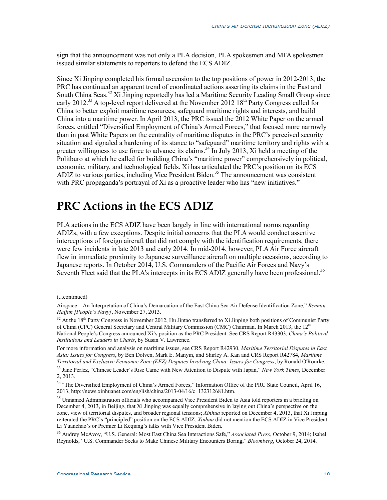sign that the announcement was not only a PLA decision, PLA spokesmen and MFA spokesmen issued similar statements to reporters to defend the ECS ADIZ.

Since Xi Jinping completed his formal ascension to the top positions of power in 2012-2013, the PRC has continued an apparent trend of coordinated actions asserting its claims in the East and South China Seas.<sup>32</sup> Xi Jinping reportedly has led a Maritime Security Leading Small Group since early 2012.<sup>33</sup> A top-level report delivered at the November 2012 18<sup>th</sup> Party Congress called for China to better exploit maritime resources, safeguard maritime rights and interests, and build China into a maritime power. In April 2013, the PRC issued the 2012 White Paper on the armed forces, entitled "Diversified Employment of China's Armed Forces," that focused more narrowly than in past White Papers on the centrality of maritime disputes in the PRC's perceived security situation and signaled a hardening of its stance to "safeguard" maritime territory and rights with a greater willingness to use force to advance its claims.<sup>34</sup> In July 2013, Xi held a meeting of the Politburo at which he called for building China's "maritime power" comprehensively in political, economic, military, and technological fields. Xi has articulated the PRC's position on its ECS ADIZ to various parties, including Vice President Biden.<sup>35</sup> The announcement was consistent with PRC propaganda's portrayal of Xi as a proactive leader who has "new initiatives."

# **PRC Actions in the ECS ADIZ**

PLA actions in the ECS ADIZ have been largely in line with international norms regarding ADIZs, with a few exceptions. Despite initial concerns that the PLA would conduct assertive interceptions of foreign aircraft that did not comply with the identification requirements, there were few incidents in late 2013 and early 2014. In mid-2014, however, PLA Air Force aircraft flew in immediate proximity to Japanese surveillance aircraft on multiple occasions, according to Japanese reports. In October 2014, U.S. Commanders of the Pacific Air Forces and Navy's Seventh Fleet said that the PLA's intercepts in its ECS ADIZ generally have been professional.<sup>36</sup>

<sup>(...</sup>continued)

Airspace—An Interpretation of China's Demarcation of the East China Sea Air Defense Identification Zone," *Renmin Haijun [People's Navy]*, November 27, 2013.

 $32$  At the 18<sup>th</sup> Party Congress in November 2012, Hu Jintao transferred to Xi Jinping both positions of Communist Party of China (CPC) General Secretary and Central Military Commission (CMC) Chairman. In March 2013, the 12<sup>th</sup> National People's Congress announced Xi's position as the PRC President. See CRS Report R43303, *China's Political Institutions and Leaders in Charts*, by Susan V. Lawrence.

For more information and analysis on maritime issues, see CRS Report R42930, *Maritime Territorial Disputes in East Asia: Issues for Congress*, by Ben Dolven, Mark E. Manyin, and Shirley A. Kan and CRS Report R42784, *Maritime Territorial and Exclusive Economic Zone (EEZ) Disputes Involving China: Issues for Congress*, by Ronald O'Rourke.

<sup>33</sup> Jane Perlez, "Chinese Leader's Rise Came with New Attention to Dispute with Japan," *New York Times*, December 2, 2013.

<sup>&</sup>lt;sup>34</sup> "The Diversified Employment of China's Armed Forces," Information Office of the PRC State Council, April 16, 2013, http://news.xinhuanet.com/english/china/2013-04/16/c\_132312681.htm.

<sup>&</sup>lt;sup>35</sup> Unnamed Administration officials who accompanied Vice President Biden to Asia told reporters in a briefing on December 4, 2013, in Beijing, that Xi Jinping was equally comprehensive in laying out China's perspective on the zone, view of territorial disputes, and broader regional tensions; *Xinhua* reported on December 4, 2013, that Xi Jinping reiterated the PRC's "principled" position on the ECS ADIZ. *Xinhua* did not mention the ECS ADIZ in Vice President Li Yuanchao's or Premier Li Keqiang's talks with Vice President Biden.

<sup>36</sup> Audrey McAvoy, "U.S. General: Most East China Sea Interactions Safe," *Associated Press*, October 9, 2014; Isabel Reynolds, "U.S. Commander Seeks to Make Chinese Military Encounters Boring," *Bloomberg*, October 24, 2014.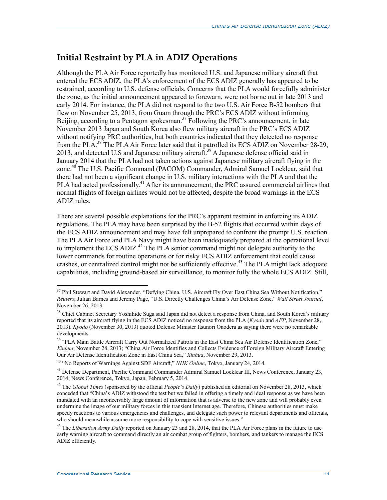### **Initial Restraint by PLA in ADIZ Operations**

Although the PLA Air Force reportedly has monitored U.S. and Japanese military aircraft that entered the ECS ADIZ, the PLA's enforcement of the ECS ADIZ generally has appeared to be restrained, according to U.S. defense officials. Concerns that the PLA would forcefully administer the zone, as the initial announcement appeared to forewarn, were not borne out in late 2013 and early 2014. For instance, the PLA did not respond to the two U.S. Air Force B-52 bombers that flew on November 25, 2013, from Guam through the PRC's ECS ADIZ without informing Beijing, according to a Pentagon spokesman.<sup>37</sup> Following the PRC's announcement, in late November 2013 Japan and South Korea also flew military aircraft in the PRC's ECS ADIZ without notifying PRC authorities, but both countries indicated that they detected no response from the PLA.38 The PLA Air Force later said that it patrolled its ECS ADIZ on November 28-29, 2013, and detected U.S and Japanese military aircraft.<sup>39</sup> A Japanese defense official said in January 2014 that the PLA had not taken actions against Japanese military aircraft flying in the zone.<sup>40</sup> The U.S. Pacific Command (PACOM) Commander, Admiral Samuel Locklear, said that there had not been a significant change in U.S. military interactions with the PLA and that the PLA had acted professionally.<sup>41</sup> After its announcement, the PRC assured commercial airlines that normal flights of foreign airlines would not be affected, despite the broad warnings in the ECS ADIZ rules.

There are several possible explanations for the PRC's apparent restraint in enforcing its ADIZ regulations. The PLA may have been surprised by the B-52 flights that occurred within days of the ECS ADIZ announcement and may have felt unprepared to confront the prompt U.S. reaction. The PLA Air Force and PLA Navy might have been inadequately prepared at the operational level to implement the ECS ADIZ.<sup>42</sup> The PLA senior command might not delegate authority to the lower commands for routine operations or for risky ECS ADIZ enforcement that could cause crashes, or centralized control might not be sufficiently effective.<sup>43</sup> The PLA might lack adequate capabilities, including ground-based air surveillance, to monitor fully the whole ECS ADIZ. Still,

<sup>1</sup> <sup>37</sup> Phil Stewart and David Alexander, "Defying China, U.S. Aircraft Fly Over East China Sea Without Notification," *Reuters*; Julian Barnes and Jeremy Page, "U.S. Directly Challenges China's Air Defense Zone," *Wall Street Journal*, November 26, 2013.

<sup>&</sup>lt;sup>38</sup> Chief Cabinet Secretary Yoshihide Suga said Japan did not detect a response from China, and South Korea's military reported that its aircraft flying in the ECS ADIZ noticed no response from the PLA (*Kyodo* and *AFP*, November 28, 2013). *Kyodo* (November 30, 2013) quoted Defense Minister Itsunori Onodera as saying there were no remarkable developments.

<sup>&</sup>lt;sup>39</sup> "PLA Main Battle Aircraft Carry Out Normalized Patrols in the East China Sea Air Defense Identification Zone," *Xinhua*, November 28, 2013; "China Air Force Identifies and Collects Evidence of Foreign Military Aircraft Entering Our Air Defense Identification Zone in East China Sea," *Xinhua*, November 29, 2013.

<sup>40 &</sup>quot;No Reports of Warnings Against SDF Aircraft," *NHK Online*, Tokyo, January 24, 2014.

<sup>&</sup>lt;sup>41</sup> Defense Department, Pacific Command Commander Admiral Samuel Locklear III, News Conference, January 23, 2014; News Conference, Tokyo, Japan, February 5, 2014.

<sup>42</sup> The *Global Times* (sponsored by the official *People's Daily*) published an editorial on November 28, 2013, which conceded that "China's ADIZ withstood the test but we failed in offering a timely and ideal response as we have been inundated with an inconceivably large amount of information that is adverse to the new zone and will probably even undermine the image of our military forces in this transient Internet age. Therefore, Chinese authorities must make speedy reactions to various emergencies and challenges, and delegate such power to relevant departments and officials, who should meanwhile assume more responsibility to cope with sensitive issues."

<sup>&</sup>lt;sup>43</sup> The *Liberation Army Daily* reported on January 23 and 28, 2014, that the PLA Air Force plans in the future to use early warning aircraft to command directly an air combat group of fighters, bombers, and tankers to manage the ECS ADIZ efficiently.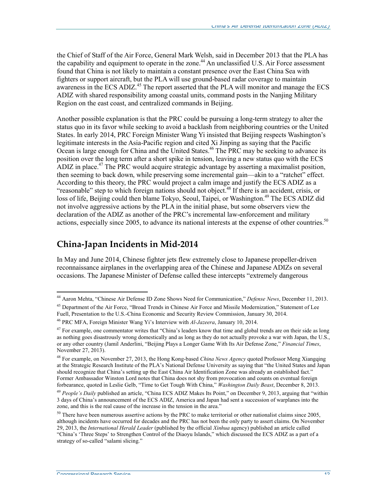the Chief of Staff of the Air Force, General Mark Welsh, said in December 2013 that the PLA has the capability and equipment to operate in the zone.<sup>44</sup> An unclassified U.S. Air Force assessment found that China is not likely to maintain a constant presence over the East China Sea with fighters or support aircraft, but the PLA will use ground-based radar coverage to maintain awareness in the ECS ADIZ.<sup>45</sup> The report asserted that the PLA will monitor and manage the ECS ADIZ with shared responsibility among coastal units, command posts in the Nanjing Military Region on the east coast, and centralized commands in Beijing.

Another possible explanation is that the PRC could be pursuing a long-term strategy to alter the status quo in its favor while seeking to avoid a backlash from neighboring countries or the United States. In early 2014, PRC Foreign Minister Wang Yi insisted that Beijing respects Washington's legitimate interests in the Asia-Pacific region and cited Xi Jinping as saying that the Pacific Ocean is large enough for China and the United States.<sup>46</sup> The PRC may be seeking to advance its position over the long term after a short spike in tension, leaving a new status quo with the ECS ADIZ in place.<sup>47</sup> The PRC would acquire strategic advantage by asserting a maximalist position, then seeming to back down, while preserving some incremental gain—akin to a "ratchet" effect. According to this theory, the PRC would project a calm image and justify the ECS ADIZ as a "reasonable" step to which foreign nations should not object.<sup>48</sup> If there is an accident, crisis, or loss of life, Beijing could then blame Tokyo, Seoul, Taipei, or Washington.<sup>49</sup> The ECS ADIZ did not involve aggressive actions by the PLA in the initial phase, but some observers view the declaration of the ADIZ as another of the PRC's incremental law-enforcement and military actions, especially since 2005, to advance its national interests at the expense of other countries.<sup>50</sup>

### **China-Japan Incidents in Mid-2014**

In May and June 2014, Chinese fighter jets flew extremely close to Japanese propeller-driven reconnaissance airplanes in the overlapping area of the Chinese and Japanese ADIZs on several occasions. The Japanese Minister of Defense called these intercepts "extremely dangerous

<sup>44</sup> Aaron Mehta, "Chinese Air Defense ID Zone Shows Need for Communication," *Defense News*, December 11, 2013.

<sup>&</sup>lt;sup>45</sup> Department of the Air Force, "Broad Trends in Chinese Air Force and Missile Modernization," Statement of Lee Fuell, Presentation to the U.S.-China Economic and Security Review Commission, January 30, 2014.

<sup>46</sup> PRC MFA, Foreign Minister Wang Yi's Interview with *Al-Jazeera*, January 10, 2014.

 $47$  For example, one commentator writes that "China's leaders know that time and global trends are on their side as long as nothing goes disastrously wrong domestically and as long as they do not actually provoke a war with Japan, the U.S., or any other country (Jamil Anderlini, "Beijing Plays a Longer Game With Its Air Defense Zone," *Financial Times*, November 27, 2013).

<sup>48</sup> For example, on November 27, 2013, the Hong Kong-based *China News Agency* quoted Professor Meng Xiangqing at the Strategic Research Institute of the PLA's National Defense University as saying that "the United States and Japan should recognize that China's setting up the East China Air Identification Zone was already an established fact." Former Ambassador Winston Lord notes that China does not shy from provocation and counts on eventual foreign forbearance, quoted in Leslie Gelb, "Time to Get Tough With China," *Washington Daily Beast*, December 8, 2013.

<sup>&</sup>lt;sup>49</sup> *People's Daily* published an article, "China ECS ADIZ Makes Its Point," on December 9, 2013, arguing that "within 3 days of China's announcement of the ECS ADIZ, America and Japan had sent a succession of warplanes into the zone, and this is the real cause of the increase in the tension in the area."

 $50$  There have been numerous assertive actions by the PRC to make territorial or other nationalist claims since 2005, although incidents have occurred for decades and the PRC has not been the only party to assert claims. On November 29, 2013, the *International Herald Leader* (published by the official *Xinhua* agency) published an article called "China's 'Three Steps' to Strengthen Control of the Diaoyu Islands," which discussed the ECS ADIZ as a part of a strategy of so-called "salami slicing."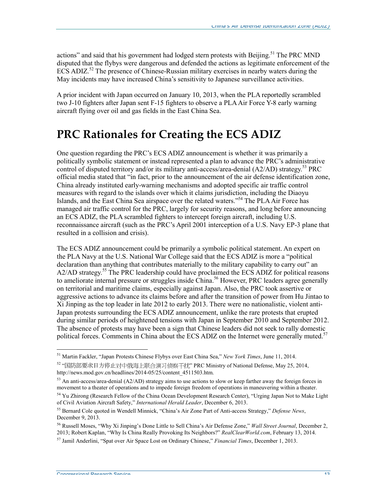actions" and said that his government had lodged stern protests with Beijing.<sup>51</sup> The PRC MND disputed that the flybys were dangerous and defended the actions as legitimate enforcement of the  $\overline{ECS}$  ADIZ.<sup>52</sup> The presence of Chinese-Russian military exercises in nearby waters during the May incidents may have increased China's sensitivity to Japanese surveillance activities.

A prior incident with Japan occurred on January 10, 2013, when the PLA reportedly scrambled two J-10 fighters after Japan sent F-15 fighters to observe a PLA Air Force Y-8 early warning aircraft flying over oil and gas fields in the East China Sea.

# **PRC Rationales for Creating the ECS ADIZ**

One question regarding the PRC's ECS ADIZ announcement is whether it was primarily a politically symbolic statement or instead represented a plan to advance the PRC's administrative control of disputed territory and/or its military anti-access/area-denial  $(A2/AD)$  strategy.<sup>53</sup> PRC official media stated that "in fact, prior to the announcement of the air defense identification zone, China already instituted early-warning mechanisms and adopted specific air traffic control measures with regard to the islands over which it claims jurisdiction, including the Diaoyu Islands, and the East China Sea airspace over the related waters."54 The PLA Air Force has managed air traffic control for the PRC, largely for security reasons, and long before announcing an ECS ADIZ, the PLA scrambled fighters to intercept foreign aircraft, including U.S. reconnaissance aircraft (such as the PRC's April 2001 interception of a U.S. Navy EP-3 plane that resulted in a collision and crisis).

The ECS ADIZ announcement could be primarily a symbolic political statement. An expert on the PLA Navy at the U.S. National War College said that the ECS ADIZ is more a "political declaration than anything that contributes materially to the military capability to carry out" an A2/AD strategy.<sup>55</sup> The PRC leadership could have proclaimed the ECS ADIZ for political reasons to ameliorate internal pressure or struggles inside China.<sup>56</sup> However, PRC leaders agree generally on territorial and maritime claims, especially against Japan. Also, the PRC took assertive or aggressive actions to advance its claims before and after the transition of power from Hu Jintao to Xi Jinping as the top leader in late 2012 to early 2013. There were no nationalistic, violent anti-Japan protests surrounding the ECS ADIZ announcement, unlike the rare protests that erupted during similar periods of heightened tensions with Japan in September 2010 and September 2012. The absence of protests may have been a sign that Chinese leaders did not seek to rally domestic political forces. Comments in China about the ECS ADIZ on the Internet were generally muted.<sup>57</sup>

<sup>51</sup> Martin Fackler, "Japan Protests Chinese Flybys over East China Sea," *New York Times*, June 11, 2014.

<sup>&</sup>lt;sup>52</sup> "国防部要求日方停止对中俄海上联合演习侦察干扰" PRC Ministry of National Defense, May 25, 2014, http://news.mod.gov.cn/headlines/2014-05/25/content\_4511503.htm.

 $53$  An anti-access/area-denial (A2/AD) strategy aims to use actions to slow or keep farther away the foreign forces in movement to a theater of operations and to impede foreign freedom of operations in maneuvering within a theater.

<sup>&</sup>lt;sup>54</sup> Yu Zhirong (Research Fellow of the China Ocean Development Research Center), "Urging Japan Not to Make Light of Civil Aviation Aircraft Safety," *International Herald Leader*, December 6, 2013.

<sup>55</sup> Bernard Cole quoted in Wendell Minnick, "China's Air Zone Part of Anti-access Strategy," *Defense News*, December 9, 2013.

<sup>56</sup> Russell Moses, "Why Xi Jinping's Done Little to Sell China's Air Defense Zone," *Wall Street Journal*, December 2, 2013; Robert Kaplan, "Why Is China Really Provoking Its Neighbors?" *RealClearWorld.com*, February 13, 2014.

<sup>57</sup> Jamil Anderlini, "Spat over Air Space Lost on Ordinary Chinese," *Financial Times*, December 1, 2013.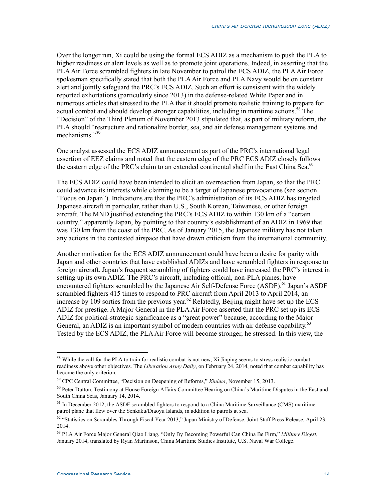Over the longer run, Xi could be using the formal ECS ADIZ as a mechanism to push the PLA to higher readiness or alert levels as well as to promote joint operations. Indeed, in asserting that the PLA Air Force scrambled fighters in late November to patrol the ECS ADIZ, the PLA Air Force spokesman specifically stated that both the PLA Air Force and PLA Navy would be on constant alert and jointly safeguard the PRC's ECS ADIZ. Such an effort is consistent with the widely reported exhortations (particularly since 2013) in the defense-related White Paper and in numerous articles that stressed to the PLA that it should promote realistic training to prepare for actual combat and should develop stronger capabilities, including in maritime actions.<sup>58</sup> The "Decision" of the Third Plenum of November 2013 stipulated that, as part of military reform, the PLA should "restructure and rationalize border, sea, and air defense management systems and mechanisms."<sup>59</sup>

One analyst assessed the ECS ADIZ announcement as part of the PRC's international legal assertion of EEZ claims and noted that the eastern edge of the PRC ECS ADIZ closely follows the eastern edge of the PRC's claim to an extended continental shelf in the East China Sea. $^{60}$ 

The ECS ADIZ could have been intended to elicit an overreaction from Japan, so that the PRC could advance its interests while claiming to be a target of Japanese provocations (see section "Focus on Japan"). Indications are that the PRC's administration of its ECS ADIZ has targeted Japanese aircraft in particular, rather than U.S., South Korean, Taiwanese, or other foreign aircraft. The MND justified extending the PRC's ECS ADIZ to within 130 km of a "certain country," apparently Japan, by pointing to that country's establishment of an ADIZ in 1969 that was 130 km from the coast of the PRC. As of January 2015, the Japanese military has not taken any actions in the contested airspace that have drawn criticism from the international community.

Another motivation for the ECS ADIZ announcement could have been a desire for parity with Japan and other countries that have established ADIZs and have scrambled fighters in response to foreign aircraft. Japan's frequent scrambling of fighters could have increased the PRC's interest in setting up its own ADIZ. The PRC's aircraft, including official, non-PLA planes, have encountered fighters scrambled by the Japanese Air Self-Defense Force (ASDF).<sup>61</sup> Japan's ASDF scrambled fighters 415 times to respond to PRC aircraft from April 2013 to April 2014, an increase by 109 sorties from the previous year.<sup>62</sup> Relatedly, Beijing might have set up the ECS ADIZ for prestige. A Major General in the PLA Air Force asserted that the PRC set up its ECS ADIZ for political-strategic significance as a "great power" because, according to the Major General, an ADIZ is an important symbol of modern countries with air defense capability.<sup>63</sup> Tested by the ECS ADIZ, the PLA Air Force will become stronger, he stressed. In this view, the

 $58$  While the call for the PLA to train for realistic combat is not new, Xi Jinping seems to stress realistic combatreadiness above other objectives. The *Liberation Army Daily*, on February 24, 2014, noted that combat capability has become the only criterion.

<sup>59</sup> CPC Central Committee, "Decision on Deepening of Reforms," *Xinhua*, November 15, 2013.

<sup>60</sup> Peter Dutton, Testimony at House Foreign Affairs Committee Hearing on China's Maritime Disputes in the East and South China Seas, January 14, 2014.

<sup>&</sup>lt;sup>61</sup> In December 2012, the ASDF scrambled fighters to respond to a China Maritime Surveillance (CMS) maritime patrol plane that flew over the Senkaku/Diaoyu Islands, in addition to patrols at sea.

<sup>&</sup>lt;sup>62</sup> "Statistics on Scrambles Through Fiscal Year 2013," Japan Ministry of Defense, Joint Staff Press Release, April 23, 2014.

<sup>63</sup> PLA Air Force Major General Qiao Liang, "Only By Becoming Powerful Can China Be Firm," *Military Digest*, January 2014, translated by Ryan Martinson, China Maritime Studies Institute, U.S. Naval War College.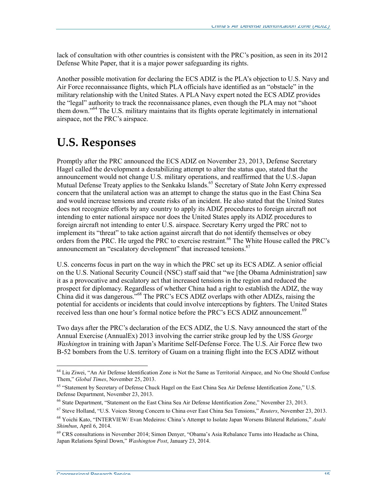lack of consultation with other countries is consistent with the PRC's position, as seen in its 2012 Defense White Paper, that it is a major power safeguarding its rights.

Another possible motivation for declaring the ECS ADIZ is the PLA's objection to U.S. Navy and Air Force reconnaissance flights, which PLA officials have identified as an "obstacle" in the military relationship with the United States. A PLA Navy expert noted the ECS ADIZ provides the "legal" authority to track the reconnaissance planes, even though the PLA may not "shoot them down."64 The U.S. military maintains that its flights operate legitimately in international airspace, not the PRC's airspace.

# **U.S. Responses**

Promptly after the PRC announced the ECS ADIZ on November 23, 2013, Defense Secretary Hagel called the development a destabilizing attempt to alter the status quo, stated that the announcement would not change U.S. military operations, and reaffirmed that the U.S.-Japan Mutual Defense Treaty applies to the Senkaku Islands.<sup>65</sup> Secretary of State John Kerry expressed concern that the unilateral action was an attempt to change the status quo in the East China Sea and would increase tensions and create risks of an incident. He also stated that the United States does not recognize efforts by any country to apply its ADIZ procedures to foreign aircraft not intending to enter national airspace nor does the United States apply its ADIZ procedures to foreign aircraft not intending to enter U.S. airspace. Secretary Kerry urged the PRC not to implement its "threat" to take action against aircraft that do not identify themselves or obey orders from the PRC. He urged the PRC to exercise restraint.<sup>66</sup> The White House called the PRC's announcement an "escalatory development" that increased tensions.<sup>67</sup>

U.S. concerns focus in part on the way in which the PRC set up its ECS ADIZ. A senior official on the U.S. National Security Council (NSC) staff said that "we [the Obama Administration] saw it as a provocative and escalatory act that increased tensions in the region and reduced the prospect for diplomacy. Regardless of whether China had a right to establish the ADIZ, the way China did it was dangerous."68 The PRC's ECS ADIZ overlaps with other ADIZs, raising the potential for accidents or incidents that could involve interceptions by fighters. The United States received less than one hour's formal notice before the PRC's ECS ADIZ announcement.<sup>69</sup>

Two days after the PRC's declaration of the ECS ADIZ, the U.S. Navy announced the start of the Annual Exercise (AnnualEx) 2013 involving the carrier strike group led by the USS *George Washington* in training with Japan's Maritime Self-Defense Force. The U.S. Air Force flew two B-52 bombers from the U.S. territory of Guam on a training flight into the ECS ADIZ without

<sup>&</sup>lt;sup>64</sup> Liu Ziwei, "An Air Defense Identification Zone is Not the Same as Territorial Airspace, and No One Should Confuse Them," *Global Times*, November 25, 2013.

<sup>65 &</sup>quot;Statement by Secretary of Defense Chuck Hagel on the East China Sea Air Defense Identification Zone," U.S. Defense Department, November 23, 2013.

<sup>66</sup> State Department, "Statement on the East China Sea Air Defense Identification Zone," November 23, 2013.

<sup>67</sup> Steve Holland, "U.S. Voices Strong Concern to China over East China Sea Tensions," *Reuters*, November 23, 2013.

<sup>68</sup> Yoichi Kato, "INTERVIEW/ Evan Medeiros: China's Attempt to Isolate Japan Worsens Bilateral Relations," *Asahi Shimbun*, April 6, 2014.

<sup>69</sup> CRS consultations in November 2014; Simon Denyer, "Obama's Asia Rebalance Turns into Headache as China, Japan Relations Spiral Down," *Washington Post*, January 23, 2014.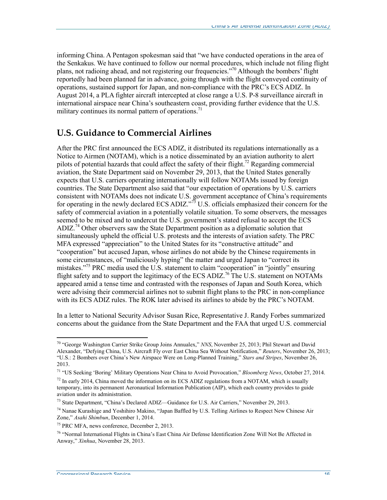informing China. A Pentagon spokesman said that "we have conducted operations in the area of the Senkakus. We have continued to follow our normal procedures, which include not filing flight plans, not radioing ahead, and not registering our frequencies."70 Although the bombers' flight reportedly had been planned far in advance, going through with the flight conveyed continuity of operations, sustained support for Japan, and non-compliance with the PRC's ECS ADIZ. In August 2014, a PLA fighter aircraft intercepted at close range a U.S. P-8 surveillance aircraft in international airspace near China's southeastern coast, providing further evidence that the U.S. military continues its normal pattern of operations.<sup>71</sup>

### **U.S. Guidance to Commercial Airlines**

After the PRC first announced the ECS ADIZ, it distributed its regulations internationally as a Notice to Airmen (NOTAM), which is a notice disseminated by an aviation authority to alert pilots of potential hazards that could affect the safety of their flight.<sup>72</sup> Regarding commercial aviation, the State Department said on November 29, 2013, that the United States generally expects that U.S. carriers operating internationally will follow NOTAMs issued by foreign countries. The State Department also said that "our expectation of operations by U.S. carriers consistent with NOTAMs does not indicate U.S. government acceptance of China's requirements for operating in the newly declared ECS ADIZ."<sup>73</sup> U.S. officials emphasized their concern for the safety of commercial aviation in a potentially volatile situation. To some observers, the messages seemed to be mixed and to undercut the U.S. government's stated refusal to accept the ECS ADIZ.<sup>74</sup> Other observers saw the State Department position as a diplomatic solution that simultaneously upheld the official U.S. protests and the interests of aviation safety. The PRC MFA expressed "appreciation" to the United States for its "constructive attitude" and "cooperation" but accused Japan, whose airlines do not abide by the Chinese requirements in some circumstances, of "maliciously hyping" the matter and urged Japan to "correct its mistakes."<sup>75</sup> PRC media used the U.S. statement to claim "cooperation" in "jointly" ensuring flight safety and to support the legitimacy of the ECS ADIZ.<sup>76</sup> The U.S. statement on NOTAMs appeared amid a tense time and contrasted with the responses of Japan and South Korea, which were advising their commercial airlines not to submit flight plans to the PRC in non-compliance with its ECS ADIZ rules. The ROK later advised its airlines to abide by the PRC's NOTAM.

In a letter to National Security Advisor Susan Rice, Representative J. Randy Forbes summarized concerns about the guidance from the State Department and the FAA that urged U.S. commercial

<sup>70 &</sup>quot;George Washington Carrier Strike Group Joins Annualex," *NNS*, November 25, 2013; Phil Stewart and David Alexander, "Defying China, U.S. Aircraft Fly over East China Sea Without Notification," *Reuters*, November 26, 2013; "U.S.: 2 Bombers over China's New Airspace Were on Long-Planned Training," *Stars and Stripes*, November 26, 2013.

<sup>71 &</sup>quot;US Seeking 'Boring' Military Operations Near China to Avoid Provocation," *Bloomberg News*, October 27, 2014.

 $^{72}$  In early 2014, China moved the information on its ECS ADIZ regulations from a NOTAM, which is usually temporary, into its permanent Aeronautical Information Publication (AIP), which each country provides to guide aviation under its administration.

<sup>73</sup> State Department, "China's Declared ADIZ—Guidance for U.S. Air Carriers," November 29, 2013.

<sup>74</sup> Nanae Kurashige and Yoshihiro Makino, "Japan Baffled by U.S. Telling Airlines to Respect New Chinese Air Zone," *Asahi Shimbun*, December 1, 2014.

<sup>75</sup> PRC MFA, news conference, December 2, 2013.

<sup>76 &</sup>quot;Normal International Flights in China's East China Air Defense Identification Zone Will Not Be Affected in Anway," *Xinhua*, November 28, 2013.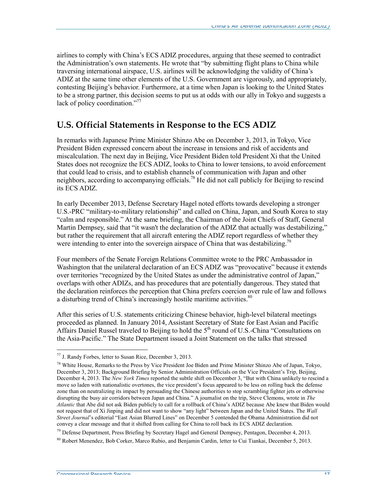airlines to comply with China's ECS ADIZ procedures, arguing that these seemed to contradict the Administration's own statements. He wrote that "by submitting flight plans to China while traversing international airspace, U.S. airlines will be acknowledging the validity of China's ADIZ at the same time other elements of the U.S. Government are vigorously, and appropriately, contesting Beijing's behavior. Furthermore, at a time when Japan is looking to the United States to be a strong partner, this decision seems to put us at odds with our ally in Tokyo and suggests a lack of policy coordination."<sup>77</sup>

### **U.S. Official Statements in Response to the ECS ADIZ**

In remarks with Japanese Prime Minister Shinzo Abe on December 3, 2013, in Tokyo, Vice President Biden expressed concern about the increase in tensions and risk of accidents and miscalculation. The next day in Beijing, Vice President Biden told President Xi that the United States does not recognize the ECS ADIZ, looks to China to lower tensions, to avoid enforcement that could lead to crisis, and to establish channels of communication with Japan and other neighbors, according to accompanying officials.78 He did not call publicly for Beijing to rescind its ECS ADIZ.

In early December 2013, Defense Secretary Hagel noted efforts towards developing a stronger U.S.-PRC "military-to-military relationship" and called on China, Japan, and South Korea to stay "calm and responsible." At the same briefing, the Chairman of the Joint Chiefs of Staff, General Martin Dempsey, said that "it wasn't the declaration of the ADIZ that actually was destabilizing," but rather the requirement that all aircraft entering the ADIZ report regardless of whether they were intending to enter into the sovereign airspace of China that was destabilizing.<sup>79</sup>

Four members of the Senate Foreign Relations Committee wrote to the PRC Ambassador in Washington that the unilateral declaration of an ECS ADIZ was "provocative" because it extends over territories "recognized by the United States as under the administrative control of Japan," overlaps with other ADIZs, and has procedures that are potentially dangerous. They stated that the declaration reinforces the perception that China prefers coercion over rule of law and follows a disturbing trend of China's increasingly hostile maritime activities.<sup>80</sup>

After this series of U.S. statements criticizing Chinese behavior, high-level bilateral meetings proceeded as planned. In January 2014, Assistant Secretary of State for East Asian and Pacific Affairs Daniel Russel traveled to Beijing to hold the  $5<sup>th</sup>$  round of U.S.-China "Consultations on the Asia-Pacific." The State Department issued a Joint Statement on the talks that stressed

 $^{79}$  Defense Department, Press Briefing by Secretary Hagel and General Dempsey, Pentagon, December 4, 2013.

 $77$  J. Randy Forbes, letter to Susan Rice, December 3, 2013.

<sup>78</sup> White House, Remarks to the Press by Vice President Joe Biden and Prime Minister Shinzo Abe of Japan, Tokyo, December 3, 2013; Background Briefing by Senior Administration Officials on the Vice President's Trip, Beijing, December 4, 2013. The *New York Times* reported the subtle shift on December 3, "But with China unlikely to rescind a move so laden with nationalistic overtones, the vice president's focus appeared to be less on rolling back the defense zone than on neutralizing its impact by persuading the Chinese authorities to stop scrambling fighter jets or otherwise disrupting the busy air corridors between Japan and China." A journalist on the trip, Steve Clemons, wrote in *The Atlantic* that Abe did not ask Biden publicly to call for a rollback of China's ADIZ because Abe knew that Biden would not request that of Xi Jinping and did not want to show "any light" between Japan and the United States. The *Wall Street Journal*'s editorial "East Asian Blurred Lines" on December 5 contended the Obama Administration did not convey a clear message and that it shifted from calling for China to roll back its ECS ADIZ declaration.

<sup>80</sup> Robert Menendez, Bob Corker, Marco Rubio, and Benjamin Cardin, letter to Cui Tiankai, December 5, 2013.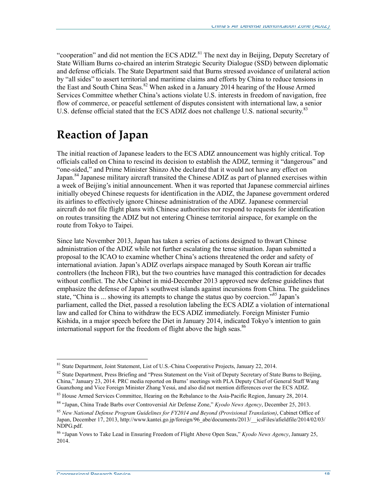"cooperation" and did not mention the ECS ADIZ.<sup>81</sup> The next day in Beijing, Deputy Secretary of State William Burns co-chaired an interim Strategic Security Dialogue (SSD) between diplomatic and defense officials. The State Department said that Burns stressed avoidance of unilateral action by "all sides" to assert territorial and maritime claims and efforts by China to reduce tensions in the East and South China Seas.<sup>82</sup> When asked in a January 2014 hearing of the House Armed Services Committee whether China's actions violate U.S. interests in freedom of navigation, free flow of commerce, or peaceful settlement of disputes consistent with international law, a senior U.S. defense official stated that the ECS ADIZ does not challenge U.S. national security.<sup>83</sup>

# **Reaction of Japan**

The initial reaction of Japanese leaders to the ECS ADIZ announcement was highly critical. Top officials called on China to rescind its decision to establish the ADIZ, terming it "dangerous" and "one-sided," and Prime Minister Shinzo Abe declared that it would not have any effect on Japan.<sup>84</sup> Japanese military aircraft transited the Chinese ADIZ as part of planned exercises within a week of Beijing's initial announcement. When it was reported that Japanese commercial airlines initially obeyed Chinese requests for identification in the ADIZ, the Japanese government ordered its airlines to effectively ignore Chinese administration of the ADIZ. Japanese commercial aircraft do not file flight plans with Chinese authorities nor respond to requests for identification on routes transiting the ADIZ but not entering Chinese territorial airspace, for example on the route from Tokyo to Taipei.

Since late November 2013, Japan has taken a series of actions designed to thwart Chinese administration of the ADIZ while not further escalating the tense situation. Japan submitted a proposal to the ICAO to examine whether China's actions threatened the order and safety of international aviation. Japan's ADIZ overlaps airspace managed by South Korean air traffic controllers (the Incheon FIR), but the two countries have managed this contradiction for decades without conflict. The Abe Cabinet in mid-December 2013 approved new defense guidelines that emphasize the defense of Japan's southwest islands against incursions from China. The guidelines state, "China is ... showing its attempts to change the status quo by coercion."<sup>85</sup> Japan's parliament, called the Diet, passed a resolution labeling the ECS ADIZ a violation of international law and called for China to withdraw the ECS ADIZ immediately. Foreign Minister Fumio Kishida, in a major speech before the Diet in January 2014, indicated Tokyo's intention to gain international support for the freedom of flight above the high seas. $86$ 

<sup>&</sup>lt;sup>81</sup> State Department, Joint Statement, List of U.S.-China Cooperative Projects, January 22, 2014.

<sup>&</sup>lt;sup>82</sup> State Department, Press Briefing and "Press Statement on the Visit of Deputy Secretary of State Burns to Beijing, China," January 23, 2014. PRC media reported on Burns' meetings with PLA Deputy Chief of General Staff Wang Guanzhong and Vice Foreign Minister Zhang Yesui, and also did not mention differences over the ECS ADIZ.

<sup>&</sup>lt;sup>83</sup> House Armed Services Committee, Hearing on the Rebalance to the Asia-Pacific Region, January 28, 2014.

<sup>84 &</sup>quot;Japan, China Trade Barbs over Controversial Air Defense Zone," *Kyodo News Agency*, December 25, 2013. <sup>85</sup> *New National Defense Program Guidelines for FY2014 and Beyond (Provisional Translation)*, Cabinet Office of Japan, December 17, 2013, http://www.kantei.go.jp/foreign/96\_abe/documents/2013/\_\_icsFiles/afieldfile/2014/02/03/

NDPG.pdf.

<sup>86 &</sup>quot;Japan Vows to Take Lead in Ensuring Freedom of Flight Above Open Seas," *Kyodo News Agency*, January 25, 2014.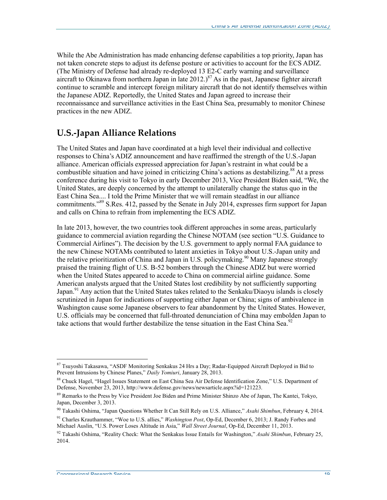While the Abe Administration has made enhancing defense capabilities a top priority, Japan has not taken concrete steps to adjust its defense posture or activities to account for the ECS ADIZ. (The Ministry of Defense had already re-deployed 13 E2-C early warning and surveillance aircraft to Okinawa from northern Japan in late  $2012.$ <sup>87</sup> As in the past, Japanese fighter aircraft continue to scramble and intercept foreign military aircraft that do not identify themselves within the Japanese ADIZ. Reportedly, the United States and Japan agreed to increase their reconnaissance and surveillance activities in the East China Sea, presumably to monitor Chinese practices in the new ADIZ.

### **U.S.-Japan Alliance Relations**

The United States and Japan have coordinated at a high level their individual and collective responses to China's ADIZ announcement and have reaffirmed the strength of the U.S.-Japan alliance. American officials expressed appreciation for Japan's restraint in what could be a combustible situation and have joined in criticizing China's actions as destabilizing.<sup>88</sup> At a press conference during his visit to Tokyo in early December 2013, Vice President Biden said, "We, the United States, are deeply concerned by the attempt to unilaterally change the status quo in the East China Sea.... I told the Prime Minister that we will remain steadfast in our alliance commitments."89 S.Res. 412, passed by the Senate in July 2014, expresses firm support for Japan and calls on China to refrain from implementing the ECS ADIZ.

In late 2013, however, the two countries took different approaches in some areas, particularly guidance to commercial aviation regarding the Chinese NOTAM (see section "U.S. Guidance to Commercial Airlines"). The decision by the U.S. government to apply normal FAA guidance to the new Chinese NOTAMs contributed to latent anxieties in Tokyo about U.S.-Japan unity and the relative prioritization of China and Japan in U.S. policymaking.<sup>90</sup> Many Japanese strongly praised the training flight of U.S. B-52 bombers through the Chinese ADIZ but were worried when the United States appeared to accede to China on commercial airline guidance. Some American analysts argued that the United States lost credibility by not sufficiently supporting Japan.<sup>91</sup> Any action that the United States takes related to the Senkaku/Diaoyu islands is closely scrutinized in Japan for indications of supporting either Japan or China; signs of ambivalence in Washington cause some Japanese observers to fear abandonment by the United States. However, U.S. officials may be concerned that full-throated denunciation of China may embolden Japan to take actions that would further destabilize the tense situation in the East China Sea.<sup>92</sup>

 $87$  Tsuyoshi Takasawa, "ASDF Monitoring Senkakus 24 Hrs a Day; Radar-Equipped Aircraft Deployed in Bid to Prevent Intrusions by Chinese Planes," *Daily Yomiuri*, January 28, 2013.

<sup>88</sup> Chuck Hagel, "Hagel Issues Statement on East China Sea Air Defense Identification Zone," U.S. Department of Defense, November 23, 2013, http://www.defense.gov/news/newsarticle.aspx?id=121223.

<sup>&</sup>lt;sup>89</sup> Remarks to the Press by Vice President Joe Biden and Prime Minister Shinzo Abe of Japan, The Kantei, Tokyo, Japan, December 3, 2013.

<sup>90</sup> Takashi Oshima, "Japan Questions Whether It Can Still Rely on U.S. Alliance," *Asahi Shimbun*, February 4, 2014.

<sup>91</sup> Charles Krauthammer, "Woe to U.S. allies," *Washington Post*, Op-Ed, December 6, 2013; J. Randy Forbes and Michael Auslin, "U.S. Power Loses Altitude in Asia," *Wall Street Journal*, Op-Ed, December 11, 2013.

<sup>92</sup> Takashi Oshima, "Reality Check: What the Senkakus Issue Entails for Washington," *Asahi Shimbun*, February 25, 2014.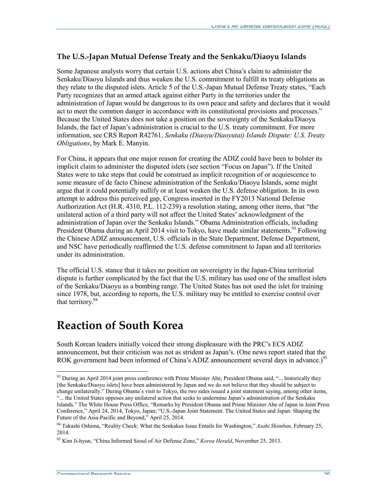#### **The U.S.-Japan Mutual Defense Treaty and the Senkaku/Diaoyu Islands**

Some Japanese analysts worry that certain U.S. actions abet China's claim to administer the Senkaku/Diaoyu Islands and thus weaken the U.S. commitment to fulfill its treaty obligations as they relate to the disputed islets. Article 5 of the U.S.-Japan Mutual Defense Treaty states, "Each Party recognizes that an armed attack against either Party in the territories under the administration of Japan would be dangerous to its own peace and safety and declares that it would act to meet the common danger in accordance with its constitutional provisions and processes." Because the United States does not take a position on the sovereignty of the Senkaku/Diaoyu Islands, the fact of Japan's administration is crucial to the U.S. treaty commitment. For more information, see CRS Report R42761, *Senkaku (Diaoyu/Diaoyutai) Islands Dispute: U.S. Treaty Obligations*, by Mark E. Manyin.

For China, it appears that one major reason for creating the ADIZ could have been to bolster its implicit claim to administer the disputed islets (see section "Focus on Japan"). If the United States were to take steps that could be construed as implicit recognition of or acquiescence to some measure of de facto Chinese administration of the Senkaku/Diaoyu Islands, some might argue that it could potentially nullify or at least weaken the U.S. defense obligation. In its own attempt to address this perceived gap, Congress inserted in the FY2013 National Defense Authorization Act (H.R. 4310, P.L. 112-239) a resolution stating, among other items, that "the unilateral action of a third party will not affect the United States' acknowledgment of the administration of Japan over the Senkaku Islands." Obama Administration officials, including President Obama during an April 2014 visit to Tokyo, have made similar statements.<sup>93</sup> Following the Chinese ADIZ announcement, U.S. officials in the State Department, Defense Department, and NSC have periodically reaffirmed the U.S. defense commitment to Japan and all territories under its administration.

The official U.S. stance that it takes no position on sovereignty in the Japan-China territorial dispute is further complicated by the fact that the U.S. military has used one of the smallest islets of the Senkaku/Diaoyu as a bombing range. The United States has not used the islet for training since 1978, but, according to reports, the U.S. military may be entitled to exercise control over that territory.<sup>94</sup>

# **Reaction of South Korea**

South Korean leaders initially voiced their strong displeasure with the PRC's ECS ADIZ announcement, but their criticism was not as strident as Japan's. (One news report stated that the ROK government had been informed of China's ADIZ announcement several days in advance.)<sup>95</sup>

 $93$  During an April 2014 joint press conference with Prime Minister Abe, President Obama said, "... historically they [the Senkaku/Diaoyu islets] have been administered by Japan and we do not believe that they should be subject to change unilaterally." During Obama's visit to Tokyo, the two sides issued a joint statement saying, among other items, "... the United States opposes any unilateral action that seeks to undermine Japan's administration of the Senkaku Islands." The White House Press Office, "Remarks by President Obama and Prime Minister Abe of Japan in Joint Press Conference," April 24, 2014, Tokyo, Japan; "U.S.-Japan Joint Statement. The United States and Japan: Shaping the Future of the Asia-Pacific and Beyond," April 25, 2014.

<sup>94</sup> Takashi Oshima, "Reality Check: What the Senkakus Issue Entails for Washington," *Asahi Shimbun*, February 25, 2014.

<sup>95</sup> Kim Ji-hyun, "China Informed Seoul of Air Defense Zone," *Korea Herald*, November 25, 2013.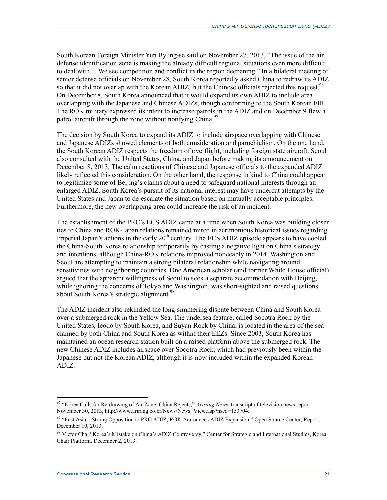South Korean Foreign Minister Yun Byung-se said on November 27, 2013, "The issue of the air defense identification zone is making the already difficult regional situations even more difficult to deal with.... We see competition and conflict in the region deepening." In a bilateral meeting of senior defense officials on November 28, South Korea reportedly asked China to redraw its ADIZ so that it did not overlap with the Korean ADIZ, but the Chinese officials rejected this request.<sup>96</sup> On December 8, South Korea announced that it would expand its own ADIZ to include area overlapping with the Japanese and Chinese ADIZs, though conforming to the South Korean FIR. The ROK military expressed its intent to increase patrols in the ADIZ and on December 9 flew a patrol aircraft through the zone without notifying China.<sup>97</sup>

The decision by South Korea to expand its ADIZ to include airspace overlapping with Chinese and Japanese ADIZs showed elements of both consideration and parochialism. On the one hand, the South Korean ADIZ respects the freedom of overflight, including foreign state aircraft. Seoul also consulted with the United States, China, and Japan before making its announcement on December 8, 2013. The calm reactions of Chinese and Japanese officials to the expanded ADIZ likely reflected this consideration. On the other hand, the response in kind to China could appear to legitimize some of Beijing's claims about a need to safeguard national interests through an enlarged ADIZ. South Korea's pursuit of its national interest may have undercut attempts by the United States and Japan to de-escalate the situation based on mutually acceptable principles. Furthermore, the new overlapping area could increase the risk of an incident.

The establishment of the PRC's ECS ADIZ came at a time when South Korea was building closer ties to China and ROK-Japan relations remained mired in acrimonious historical issues regarding Imperial Japan's actions in the early  $20<sup>th</sup>$  century. The ECS ADIZ episode appears to have cooled the China-South Korea relationship temporarily by casting a negative light on China's strategy and intentions, although China-ROK relations improved noticeably in 2014. Washington and Seoul are attempting to maintain a strong bilateral relationship while navigating around sensitivities with neighboring countries. One American scholar (and former White House official) argued that the apparent willingness of Seoul to seek a separate accommodation with Beijing, while ignoring the concerns of Tokyo and Washington, was short-sighted and raised questions about South Korea's strategic alignment.<sup>98</sup>

The ADIZ incident also rekindled the long-simmering dispute between China and South Korea over a submerged rock in the Yellow Sea. The undersea feature, called Socotra Rock by the United States, Ieodo by South Korea, and Suyan Rock by China, is located in the area of the sea claimed by both China and South Korea as within their EEZs. Since 2003, South Korea has maintained an ocean research station built on a raised platform above the submerged rock. The new Chinese ADIZ includes airspace over Socotra Rock, which had previously been within the Japanese but not the Korean ADIZ, although it is now included within the expanded Korean ADIZ.

<sup>96 &</sup>quot;Korea Calls for Re-drawing of Air Zone, China Rejects," *Arirang News*, transcript of television news report, November 30, 2013, http://www.arirang.co.kr/News/News\_View.asp?nseq=153704.

<sup>97 &</sup>quot;East Asia—Strong Opposition to PRC ADIZ, ROK Announces ADIZ Expansion," Open Source Center, Report, December 10, 2013.

<sup>98</sup> Victor Cha, "Korea's Mistake on China's ADIZ Controversy," Center for Strategic and International Studies, Korea Chair Platform, December 2, 2013.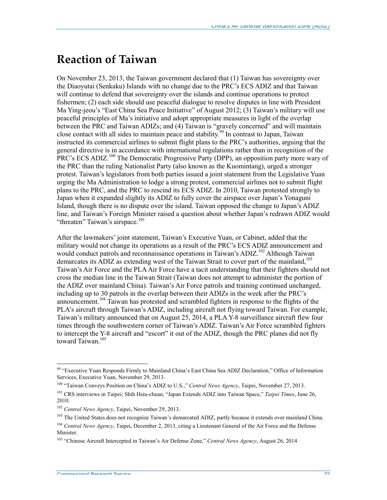### **Reaction of Taiwan**

On November 23, 2013, the Taiwan government declared that (1) Taiwan has sovereignty over the Diaoyutai (Senkaku) Islands with no change due to the PRC's ECS ADIZ and that Taiwan will continue to defend that sovereignty over the islands and continue operations to protect fishermen; (2) each side should use peaceful dialogue to resolve disputes in line with President Ma Ying-jeou's "East China Sea Peace Initiative" of August 2012; (3) Taiwan's military will use peaceful principles of Ma's initiative and adopt appropriate measures in light of the overlap between the PRC and Taiwan ADIZs; and (4) Taiwan is "gravely concerned" and will maintain close contact with all sides to maintain peace and stability.<sup>99</sup> In contrast to Japan, Taiwan instructed its commercial airlines to submit flight plans to the PRC's authorities, arguing that the general directive is in accordance with international regulations rather than in recognition of the PRC's ECS ADIZ.<sup>100</sup> The Democratic Progressive Party (DPP), an opposition party more wary of the PRC than the ruling Nationalist Party (also known as the Kuomintang), urged a stronger protest. Taiwan's legislators from both parties issued a joint statement from the Legislative Yuan urging the Ma Administration to lodge a strong protest, commercial airlines not to submit flight plans to the PRC, and the PRC to rescind its ECS ADIZ. In 2010, Taiwan protested strongly to Japan when it expanded slightly its ADIZ to fully cover the airspace over Japan's Yonaguni Island, though there is no dispute over the island. Taiwan opposed the change to Japan's ADIZ line, and Taiwan's Foreign Minister raised a question about whether Japan's redrawn ADIZ would "threaten" Taiwan's airspace. $101$ 

After the lawmakers' joint statement, Taiwan's Executive Yuan, or Cabinet, added that the military would not change its operations as a result of the PRC's ECS ADIZ announcement and would conduct patrols and reconnaissance operations in Taiwan's ADIZ.<sup>102</sup> Although Taiwan demarcates its ADIZ as extending west of the Taiwan Strait to cover part of the mainland,<sup>103</sup> Taiwan's Air Force and the PLA Air Force have a tacit understanding that their fighters should not cross the median line in the Taiwan Strait (Taiwan does not attempt to administer the portion of the ADIZ over mainland China). Taiwan's Air Force patrols and training continued unchanged, including up to 30 patrols in the overlap between their ADIZs in the week after the PRC's announcement.<sup>104</sup> Taiwan has protested and scrambled fighters in response to the flights of the PLA's aircraft through Taiwan's ADIZ, including aircraft not flying toward Taiwan. For example, Taiwan's military announced that on August 25, 2014, a PLA Y-8 surveillance aircraft flew four times through the southwestern corner of Taiwan's ADIZ. Taiwan's Air Force scrambled fighters to intercept the Y-8 aircraft and "escort" it out of the ADIZ, though the PRC planes did not fly toward Taiwan.<sup>105</sup>

<sup>99 &</sup>quot;Executive Yuan Responds Firmly to Mainland China's East China Sea ADIZ Declaration," Office of Information Services, Executive Yuan, November 29, 2013.

<sup>100 &</sup>quot;Taiwan Conveys Position on China's ADIZ to U.S.," *Central News Agency*, Taipei, November 27, 2013. 101 CRS interviews in Taipei; Shih Hsiu-chuan, "Japan Extends ADIZ into Taiwan Space," *Taipei Times*, June 26, 2010.

<sup>102</sup> *Central News Agency*, Taipei, November 29, 2013.

<sup>&</sup>lt;sup>103</sup> The United States does not recognize Taiwan's demarcated ADIZ, partly because it extends over mainland China.

<sup>104</sup> *Central News Agency*, Taipei, December 2, 2013, citing a Lieutenant General of the Air Force and the Defense Minister.

<sup>105 &</sup>quot;Chinese Aircraft Intercepted in Taiwan's Air Defense Zone," *Central News Agency*, August 26, 2014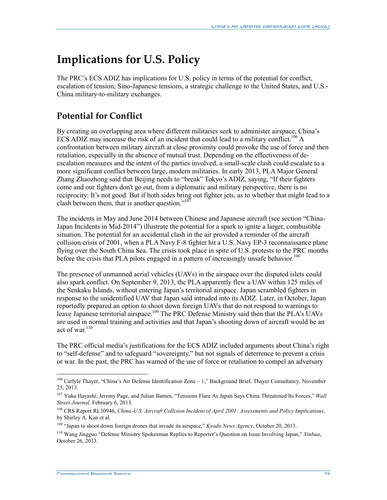# **Implications for U.S. Policy**

The PRC's ECS ADIZ has implications for U.S. policy in terms of the potential for conflict, escalation of tension, Sino-Japanese tensions, a strategic challenge to the United States, and U.S.- China military-to-military exchanges.

### **Potential for Conflict**

By creating an overlapping area where different militaries seek to administer airspace, China's ECS ADIZ may increase the risk of an incident that could lead to a military conflict.<sup>106</sup> A confrontation between military aircraft at close proximity could provoke the use of force and then retaliation, especially in the absence of mutual trust. Depending on the effectiveness of deescalation measures and the intent of the parties involved, a small-scale clash could escalate to a more significant conflict between large, modern militaries. In early 2013, PLA Major General Zhang Zhaozhong said that Beijing needs to "break" Tokyo's ADIZ, saying, "If their fighters come and our fighters don't go out, from a diplomatic and military perspective, there is no reciprocity: It's not good. But if both sides bring out fighter jets, as to whether that might lead to a clash between them, that is another question. $107$ 

The incidents in May and June 2014 between Chinese and Japanese aircraft (see section "China-Japan Incidents in Mid-2014") illustrate the potential for a spark to ignite a larger, combustible situation. The potential for an accidental clash in the air provided a reminder of the aircraft collision crisis of 2001, when a PLA Navy F-8 fighter hit a U.S. Navy EP-3 reconnaissance plane flying over the South China Sea. The crisis took place in spite of U.S. protests to the PRC months before the crisis that PLA pilots engaged in a pattern of increasingly unsafe behavior.<sup>108</sup>

The presence of unmanned aerial vehicles (UAVs) in the airspace over the disputed islets could also spark conflict. On September 9, 2013, the PLA apparently flew a UAV within 125 miles of the Senkaku Islands, without entering Japan's territorial airspace. Japan scrambled fighters in response to the unidentified UAV that Japan said intruded into its ADIZ. Later, in October, Japan reportedly prepared an option to shoot down foreign UAVs that do not respond to warnings to leave Japanese territorial airspace.<sup>109</sup> The PRC Defense Ministry said then that the PLA's UAVs are used in normal training and activities and that Japan's shooting down of aircraft would be an act of war. $110$ 

The PRC official media's justifications for the ECS ADIZ included arguments about China's right to "self-defense" and to safeguard "sovereignty," but not signals of deterrence to prevent a crisis or war. In the past, the PRC has warned of the use of force or retaliation to compel an adversary

<sup>&</sup>lt;sup>106</sup> Carlyle Thayer, "China's Air Defense Identification Zone – 1," Background Brief, Thayer Consultancy, November 25, 2013.

<sup>107</sup> Yuka Hayashi, Jeremy Page, and Julian Barnes, "Tensions Flare As Japan Says China Threatened Its Forces," *Wall Street Journal,* February 6, 2013.

<sup>108</sup> CRS Report RL30946, *China-U.S. Aircraft Collision Incident of April 2001: Assessments and Policy Implications*, by Shirley A. Kan et al.

<sup>109 &</sup>quot;Japan to shoot down foreign drones that invade its airspace," *Kyodo News Agency*, October 20, 2013.

<sup>110</sup> Wang Jingguo "Defense Ministry Spokesman Replies to Reporter's Question on Issue Involving Japan," *Xinhua*, October 26, 2013.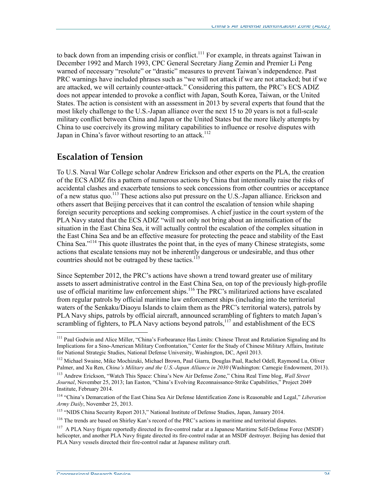to back down from an impending crisis or conflict.<sup>111</sup> For example, in threats against Taiwan in December 1992 and March 1993, CPC General Secretary Jiang Zemin and Premier Li Peng warned of necessary "resolute" or "drastic" measures to prevent Taiwan's independence. Past PRC warnings have included phrases such as "we will not attack if we are not attacked; but if we are attacked, we will certainly counter-attack." Considering this pattern, the PRC's ECS ADIZ does not appear intended to provoke a conflict with Japan, South Korea, Taiwan, or the United States. The action is consistent with an assessment in 2013 by several experts that found that the most likely challenge to the U.S.-Japan alliance over the next 15 to 20 years is not a full-scale military conflict between China and Japan or the United States but the more likely attempts by China to use coercively its growing military capabilities to influence or resolve disputes with Japan in China's favor without resorting to an attack.<sup>112</sup>

### **Escalation of Tension**

To U.S. Naval War College scholar Andrew Erickson and other experts on the PLA, the creation of the ECS ADIZ fits a pattern of numerous actions by China that intentionally raise the risks of accidental clashes and exacerbate tensions to seek concessions from other countries or acceptance of a new status quo.<sup>113</sup> These actions also put pressure on the U.S.-Japan alliance. Erickson and others assert that Beijing perceives that it can control the escalation of tension while shaping foreign security perceptions and seeking compromises. A chief justice in the court system of the PLA Navy stated that the ECS ADIZ "will not only not bring about an intensification of the situation in the East China Sea, it will actually control the escalation of the complex situation in the East China Sea and be an effective measure for protecting the peace and stability of the East China Sea."114 This quote illustrates the point that, in the eyes of many Chinese strategists, some actions that escalate tensions may not be inherently dangerous or undesirable, and thus other countries should not be outraged by these tactics.<sup>115</sup>

Since September 2012, the PRC's actions have shown a trend toward greater use of military assets to assert administrative control in the East China Sea, on top of the previously high-profile use of official maritime law enforcement ships.<sup>116</sup> The PRC's militarized actions have escalated from regular patrols by official maritime law enforcement ships (including into the territorial waters of the Senkaku/Diaoyu Islands to claim them as the PRC's territorial waters), patrols by PLA Navy ships, patrols by official aircraft, announced scrambling of fighters to match Japan's scrambling of fighters, to PLA Navy actions beyond patrols, $117$  and establishment of the ECS

<sup>&</sup>lt;sup>111</sup> Paul Godwin and Alice Miller, "China's Forbearance Has Limits: Chinese Threat and Retaliation Signaling and Its Implications for a Sino-American Military Confrontation," Center for the Study of Chinese Military Affairs, Institute for National Strategic Studies, National Defense University, Washington, DC, April 2013.

<sup>112</sup> Michael Swaine, Mike Mochizuki, Michael Brown, Paul Giarra, Douglas Paal, Rachel Odell, Raymond Lu, Oliver Palmer, and Xu Ren, *China's Military and the U.S.-Japan Alliance in 2030* (Washington: Carnegie Endowment, 2013).

<sup>113</sup> Andrew Erickson, "Watch This Space: China's New Air Defense Zone," China Real Time blog, *Wall Street Journal*, November 25, 2013; Ian Easton, "China's Evolving Reconnaissance-Strike Capabilities," Project 2049 Institute, February 2014.

<sup>114 &</sup>quot;China's Demarcation of the East China Sea Air Defense Identification Zone is Reasonable and Legal," *Liberation Army Daily*, November 25, 2013.

<sup>&</sup>lt;sup>115</sup> "NIDS China Security Report 2013," National Institute of Defense Studies, Japan, January 2014.

<sup>116</sup> The trends are based on Shirley Kan's record of the PRC's actions in maritime and territorial disputes.

<sup>&</sup>lt;sup>117</sup> A PLA Navy frigate reportedly directed its fire-control radar at a Japanese Maritime Self-Defense Force (MSDF) helicopter, and another PLA Navy frigate directed its fire-control radar at an MSDF destroyer. Beijing has denied that PLA Navy vessels directed their fire-control radar at Japanese military craft.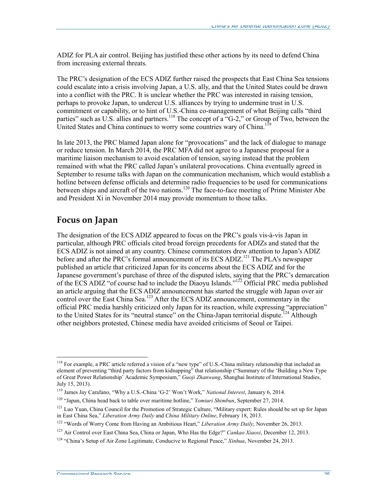ADIZ for PLA air control. Beijing has justified these other actions by its need to defend China from increasing external threats.

The PRC's designation of the ECS ADIZ further raised the prospects that East China Sea tensions could escalate into a crisis involving Japan, a U.S. ally, and that the United States could be drawn into a conflict with the PRC. It is unclear whether the PRC was interested in raising tension, perhaps to provoke Japan, to undercut U.S. alliances by trying to undermine trust in U.S. commitment or capability, or to hint of U.S.-China co-management of what Beijing calls "third parties" such as U.S. allies and partners.<sup>118</sup> The concept of a "G-2," or Group of Two, between the United States and China continues to worry some countries wary of China.<sup>11</sup>

In late 2013, the PRC blamed Japan alone for "provocations" and the lack of dialogue to manage or reduce tension. In March 2014, the PRC MFA did not agree to a Japanese proposal for a maritime liaison mechanism to avoid escalation of tension, saying instead that the problem remained with what the PRC called Japan's unilateral provocations. China eventually agreed in September to resume talks with Japan on the communication mechanism, which would establish a hotline between defense officials and determine radio frequencies to be used for communications between ships and aircraft of the two nations.<sup>120</sup> The face-to-face meeting of Prime Minister Abe and President Xi in November 2014 may provide momentum to those talks.

### **Focus on Japan**

<u>.</u>

The designation of the ECS ADIZ appeared to focus on the PRC's goals vis-à-vis Japan in particular, although PRC officials cited broad foreign precedents for ADIZs and stated that the ECS ADIZ is not aimed at any country. Chinese commentators drew attention to Japan's ADIZ before and after the PRC's formal announcement of its ECS ADIZ.<sup>121</sup> The PLA's newspaper published an article that criticized Japan for its concerns about the ECS ADIZ and for the Japanese government's purchase of three of the disputed islets, saying that the PRC's demarcation of the ECS ADIZ "of course had to include the Diaoyu Islands."122 Official PRC media published an article arguing that the ECS ADIZ announcement has started the struggle with Japan over air control over the East China Sea.<sup>123</sup> After the ECS ADIZ announcement, commentary in the official PRC media harshly criticized only Japan for its reaction, while expressing "appreciation" to the United States for its "neutral stance" on the China-Japan territorial dispute.<sup>124</sup> Although other neighbors protested, Chinese media have avoided criticisms of Seoul or Taipei.

 $118$  For example, a PRC article referred a vision of a "new type" of U.S.-China military relationship that included an element of preventing "third party factors from kidnapping" that relationship ("Summary of the 'Building a New Type of Great Power Relationship' Academic Symposium," *Guoji Zhanwang*, Shanghai Institute of International Studies, July 15, 2013).

<sup>119</sup> James Jay Carafano, "Why a U.S.-China 'G-2' Won't Work," *National Interest*, January 6, 2014.

<sup>120 &</sup>quot;Japan, China head back to table over maritime hotline," *Yomiuri Shimbun*, September 27, 2014.

 $121$  Luo Yuan, China Council for the Promotion of Strategic Culture, "Military expert: Rules should be set up for Japan in East China Sea," *Liberation Army Daily* and *China Military Online*, February 18, 2013.

<sup>122 &</sup>quot;Words of Worry Come from Having an Ambitious Heart," *Liberation Army Daily*, November 26, 2013.

<sup>123</sup> Air Control over East China Sea, China or Japan, Who Has the Edge?" *Cankao Xiaoxi*, December 12, 2013.

<sup>124 &</sup>quot;China's Setup of Air Zone Legitimate, Conducive to Regional Peace," *Xinhua*, November 24, 2013.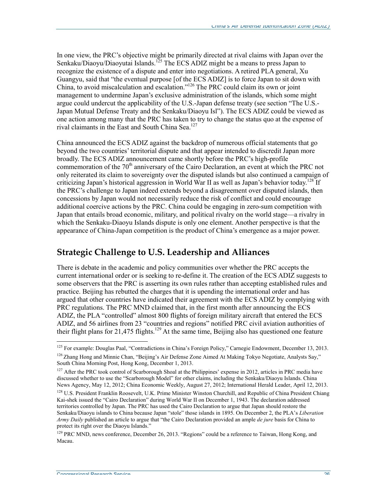In one view, the PRC's objective might be primarily directed at rival claims with Japan over the Senkaku/Diaoyu/Diaoyutai Islands.<sup>125</sup> The ECS ADIZ might be a means to press Japan to recognize the existence of a dispute and enter into negotiations. A retired PLA general, Xu Guangyu, said that "the eventual purpose [of the ECS ADIZ] is to force Japan to sit down with China, to avoid miscalculation and escalation."126 The PRC could claim its own or joint management to undermine Japan's exclusive administration of the islands, which some might argue could undercut the applicability of the U.S.-Japan defense treaty (see section "The U.S.- Japan Mutual Defense Treaty and the Senkaku/Diaoyu Isl"). The ECS ADIZ could be viewed as one action among many that the PRC has taken to try to change the status quo at the expense of rival claimants in the East and South China Sea.<sup>127</sup>

China announced the ECS ADIZ against the backdrop of numerous official statements that go beyond the two countries' territorial dispute and that appear intended to discredit Japan more broadly. The ECS ADIZ announcement came shortly before the PRC's high-profile commemoration of the  $70<sup>th</sup>$  anniversary of the Cairo Declaration, an event at which the PRC not only reiterated its claim to sovereignty over the disputed islands but also continued a campaign of criticizing Japan's historical aggression in World War II as well as Japan's behavior today.<sup>128</sup> If the PRC's challenge to Japan indeed extends beyond a disagreement over disputed islands, then concessions by Japan would not necessarily reduce the risk of conflict and could encourage additional coercive actions by the PRC. China could be engaging in zero-sum competition with Japan that entails broad economic, military, and political rivalry on the world stage—a rivalry in which the Senkaku-Diaoyu Islands dispute is only one element. Another perspective is that the appearance of China-Japan competition is the product of China's emergence as a major power.

#### **Strategic Challenge to U.S. Leadership and Alliances**

There is debate in the academic and policy communities over whether the PRC accepts the current international order or is seeking to re-define it. The creation of the ECS ADIZ suggests to some observers that the PRC is asserting its own rules rather than accepting established rules and practice. Beijing has rebutted the charges that it is upending the international order and has argued that other countries have indicated their agreement with the ECS ADIZ by complying with PRC regulations. The PRC MND claimed that, in the first month after announcing the ECS ADIZ, the PLA "controlled" almost 800 flights of foreign military aircraft that entered the ECS ADIZ, and 56 airlines from 23 "countries and regions" notified PRC civil aviation authorities of their flight plans for 21,475 flights.<sup>129</sup> At the same time, Beijing also has questioned one feature

<sup>&</sup>lt;sup>125</sup> For example: Douglas Paal, "Contradictions in China's Foreign Policy," Carnegie Endowment, December 13, 2013.

<sup>&</sup>lt;sup>126</sup> Zhang Hong and Minnie Chan, "Beijing's Air Defense Zone Aimed At Making Tokyo Negotiate, Analysts Say," South China Morning Post, Hong Kong, December 1, 2013.

<sup>&</sup>lt;sup>127</sup> After the PRC took control of Scarborough Shoal at the Philippines' expense in 2012, articles in PRC media have discussed whether to use the "Scarborough Model" for other claims, including the Senkaku/Diaoyu Islands. China News Agency, May 12, 2012; China Economic Weekly, August 27, 2012; International Herald Leader, April 12, 2013.

<sup>&</sup>lt;sup>128</sup> U.S. President Franklin Roosevelt, U.K. Prime Minister Winston Churchill, and Republic of China President Chiang Kai-shek issued the "Cairo Declaration" during World War II on December 1, 1943. The declaration addressed territories controlled by Japan. The PRC has used the Cairo Declaration to argue that Japan should restore the Senkaku/Diaoyu islands to China because Japan "stole" those islands in 1895. On December 2, the PLA's *Liberation Army Daily* published an article to argue that "the Cairo Declaration provided an ample *de jure* basis for China to protect its right over the Diaoyu Islands."

<sup>&</sup>lt;sup>129</sup> PRC MND, news conference, December 26, 2013. "Regions" could be a reference to Taiwan, Hong Kong, and Macau.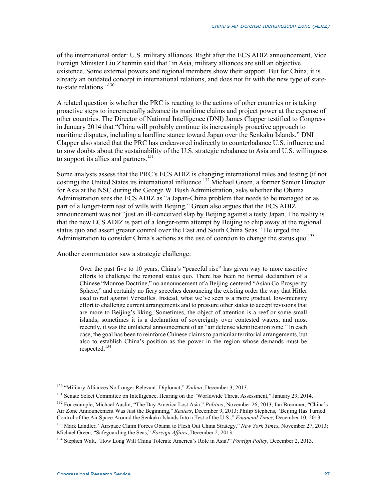of the international order: U.S. military alliances. Right after the ECS ADIZ announcement, Vice Foreign Minister Liu Zhenmin said that "in Asia, military alliances are still an objective existence. Some external powers and regional members show their support. But for China, it is already an outdated concept in international relations, and does not fit with the new type of stateto-state relations."<sup>130</sup>

A related question is whether the PRC is reacting to the actions of other countries or is taking proactive steps to incrementally advance its maritime claims and project power at the expense of other countries. The Director of National Intelligence (DNI) James Clapper testified to Congress in January 2014 that "China will probably continue its increasingly proactive approach to maritime disputes, including a hardline stance toward Japan over the Senkaku Islands." DNI Clapper also stated that the PRC has endeavored indirectly to counterbalance U.S. influence and to sow doubts about the sustainability of the U.S. strategic rebalance to Asia and U.S. willingness to support its allies and partners. $131$ 

Some analysts assess that the PRC's ECS ADIZ is changing international rules and testing (if not costing) the United States its international influence.<sup>132</sup> Michael Green, a former Senior Director for Asia at the NSC during the George W. Bush Administration, asks whether the Obama Administration sees the ECS ADIZ as "a Japan-China problem that needs to be managed or as part of a longer-term test of wills with Beijing." Green also argues that the ECS ADIZ announcement was not "just an ill-conceived slap by Beijing against a testy Japan. The reality is that the new ECS ADIZ is part of a longer-term attempt by Beijing to chip away at the regional status quo and assert greater control over the East and South China Seas." He urged the Administration to consider China's actions as the use of coercion to change the status quo.<sup>133</sup>

Another commentator saw a strategic challenge:

Over the past five to 10 years, China's "peaceful rise" has given way to more assertive efforts to challenge the regional status quo. There has been no formal declaration of a Chinese "Monroe Doctrine," no announcement of a Beijing-centered "Asian Co-Prosperity Sphere," and certainly no fiery speeches denouncing the existing order the way that Hitler used to rail against Versailles. Instead, what we've seen is a more gradual, low-intensity effort to challenge current arrangements and to pressure other states to accept revisions that are more to Beijing's liking. Sometimes, the object of attention is a reef or some small islands; sometimes it is a declaration of sovereignty over contested waters; and most recently, it was the unilateral announcement of an "air defense identification zone." In each case, the goal has been to reinforce Chinese claims to particular territorial arrangements, but also to establish China's position as the power in the region whose demands must be respected.134

<sup>130 &</sup>quot;Military Alliances No Longer Relevant: Diplomat," *Xinhua*, December 3, 2013.

<sup>&</sup>lt;sup>131</sup> Senate Select Committee on Intelligence, Hearing on the "Worldwide Threat Assessment," January 29, 2014.

<sup>132</sup> For example, Michael Auslin, "The Day America Lost Asia," *Politico*, November 26, 2013; Ian Bremmer, "China's Air Zone Announcement Was Just the Beginning," *Reuters*, December 9, 2013; Philip Stephens, "Beijing Has Turned Control of the Air Space Around the Senkaku Islands Into a Test of the U.S.," *Financial Times*, December 10, 2013.

<sup>133</sup> Mark Landler, "Airspace Claim Forces Obama to Flesh Out China Strategy," *New York Times*, November 27, 2013; Michael Green, "Safeguarding the Seas," *Foreign Affairs*, December 2, 2013.

<sup>134</sup> Stephen Walt, "How Long Will China Tolerate America's Role in Asia?" *Foreign Policy*, December 2, 2013.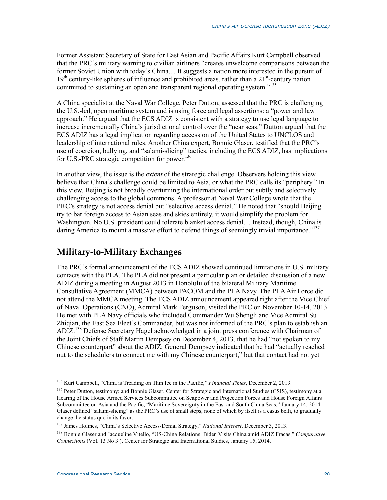Former Assistant Secretary of State for East Asian and Pacific Affairs Kurt Campbell observed that the PRC's military warning to civilian airliners "creates unwelcome comparisons between the former Soviet Union with today's China.... It suggests a nation more interested in the pursuit of  $19<sup>th</sup>$  century-like spheres of influence and prohibited areas, rather than a  $21<sup>st</sup>$ -century nation committed to sustaining an open and transparent regional operating system."<sup>135</sup>

A China specialist at the Naval War College, Peter Dutton, assessed that the PRC is challenging the U.S.-led, open maritime system and is using force and legal assertions: a "power and law approach." He argued that the ECS ADIZ is consistent with a strategy to use legal language to increase incrementally China's jurisdictional control over the "near seas." Dutton argued that the ECS ADIZ has a legal implication regarding accession of the United States to UNCLOS and leadership of international rules. Another China expert, Bonnie Glaser, testified that the PRC's use of coercion, bullying, and "salami-slicing" tactics, including the ECS ADIZ, has implications for U.S.-PRC strategic competition for power.<sup>136</sup>

In another view, the issue is the *extent* of the strategic challenge. Observers holding this view believe that China's challenge could be limited to Asia, or what the PRC calls its "periphery." In this view, Beijing is not broadly overturning the international order but subtly and selectively challenging access to the global commons. A professor at Naval War College wrote that the PRC's strategy is not access denial but "selective access denial." He noted that "should Beijing try to bar foreign access to Asian seas and skies entirely, it would simplify the problem for Washington. No U.S. president could tolerate blanket access denial.... Instead, though, China is daring America to mount a massive effort to defend things of seemingly trivial importance."<sup>137</sup>

#### **Military-to-Military Exchanges**

The PRC's formal announcement of the ECS ADIZ showed continued limitations in U.S. military contacts with the PLA. The PLA did not present a particular plan or detailed discussion of a new ADIZ during a meeting in August 2013 in Honolulu of the bilateral Military Maritime Consultative Agreement (MMCA) between PACOM and the PLA Navy. The PLA Air Force did not attend the MMCA meeting. The ECS ADIZ announcement appeared right after the Vice Chief of Naval Operations (CNO), Admiral Mark Ferguson, visited the PRC on November 10-14, 2013. He met with PLA Navy officials who included Commander Wu Shengli and Vice Admiral Su Zhiqian, the East Sea Fleet's Commander, but was not informed of the PRC's plan to establish an ADIZ.138 Defense Secretary Hagel acknowledged in a joint press conference with Chairman of the Joint Chiefs of Staff Martin Dempsey on December 4, 2013, that he had "not spoken to my Chinese counterpart" about the ADIZ; General Dempsey indicated that he had "actually reached out to the schedulers to connect me with my Chinese counterpart," but that contact had not yet

<sup>135</sup> Kurt Campbell, "China is Treading on Thin Ice in the Pacific," *Financial Times*, December 2, 2013.

<sup>&</sup>lt;sup>136</sup> Peter Dutton, testimony; and Bonnie Glaser, Center for Strategic and International Studies (CSIS), testimony at a Hearing of the House Armed Services Subcommittee on Seapower and Projection Forces and House Foreign Affairs Subcommittee on Asia and the Pacific, "Maritime Sovereignty in the East and South China Seas," January 14, 2014. Glaser defined "salami-slicing" as the PRC's use of small steps, none of which by itself is a casus belli, to gradually change the status quo in its favor.

<sup>137</sup> James Holmes, "China's Selective Access-Denial Strategy," *National Interest*, December 3, 2013.

<sup>138</sup> Bonnie Glaser and Jacqueline Vitello, "US-China Relations: Biden Visits China amid ADIZ Fracas," *Comparative Connections* (Vol. 13 No 3.), Center for Strategic and International Studies, January 15, 2014.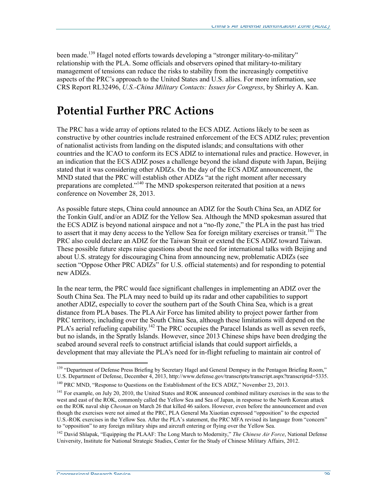been made.<sup>139</sup> Hagel noted efforts towards developing a "stronger military-to-military" relationship with the PLA. Some officials and observers opined that military-to-military management of tensions can reduce the risks to stability from the increasingly competitive aspects of the PRC's approach to the United States and U.S. allies. For more information, see CRS Report RL32496, *U.S.-China Military Contacts: Issues for Congress*, by Shirley A. Kan.

### **Potential Further PRC Actions**

The PRC has a wide array of options related to the ECS ADIZ. Actions likely to be seen as constructive by other countries include restrained enforcement of the ECS ADIZ rules; prevention of nationalist activists from landing on the disputed islands; and consultations with other countries and the ICAO to conform its ECS ADIZ to international rules and practice. However, in an indication that the ECS ADIZ poses a challenge beyond the island dispute with Japan, Beijing stated that it was considering other ADIZs. On the day of the ECS ADIZ announcement, the MND stated that the PRC will establish other ADIZs "at the right moment after necessary preparations are completed."140 The MND spokesperson reiterated that position at a news conference on November 28, 2013.

As possible future steps, China could announce an ADIZ for the South China Sea, an ADIZ for the Tonkin Gulf, and/or an ADIZ for the Yellow Sea. Although the MND spokesman assured that the ECS ADIZ is beyond national airspace and not a "no-fly zone," the PLA in the past has tried to assert that it may deny access to the Yellow Sea for foreign military exercises or transit.<sup>141</sup> The PRC also could declare an ADIZ for the Taiwan Strait or extend the ECS ADIZ toward Taiwan. These possible future steps raise questions about the need for international talks with Beijing and about U.S. strategy for discouraging China from announcing new, problematic ADIZs (see section "Oppose Other PRC ADIZs" for U.S. official statements) and for responding to potential new ADIZs.

In the near term, the PRC would face significant challenges in implementing an ADIZ over the South China Sea. The PLA may need to build up its radar and other capabilities to support another ADIZ, especially to cover the southern part of the South China Sea, which is a great distance from PLA bases. The PLA Air Force has limited ability to project power farther from PRC territory, including over the South China Sea, although these limitations will depend on the PLA's aerial refueling capability.<sup>142</sup> The PRC occupies the Paracel Islands as well as seven reefs, but no islands, in the Spratly Islands. However, since 2013 Chinese ships have been dredging the seabed around several reefs to construct artificial islands that could support airfields, a development that may alleviate the PLA's need for in-flight refueling to maintain air control of

<sup>&</sup>lt;sup>139</sup> "Department of Defense Press Briefing by Secretary Hagel and General Dempsey in the Pentagon Briefing Room," U.S. Department of Defense, December 4, 2013, http://www.defense.gov/transcripts/transcript.aspx?transcriptid=5335.

<sup>&</sup>lt;sup>140</sup> PRC MND, "Response to Questions on the Establishment of the ECS ADIZ," November 23, 2013.

<sup>&</sup>lt;sup>141</sup> For example, on July 20, 2010, the United States and ROK announced combined military exercises in the seas to the west and east of the ROK, commonly called the Yellow Sea and Sea of Japan, in response to the North Korean attack on the ROK naval ship *Cheonan* on March 26 that killed 46 sailors. However, even before the announcement and even though the exercises were not aimed at the PRC, PLA General Ma Xiaotian expressed "opposition" to the expected U.S.-ROK exercises in the Yellow Sea. After the PLA's statement, the PRC MFA revised its language from "concern" to "opposition" to any foreign military ships and aircraft entering or flying over the Yellow Sea.

<sup>&</sup>lt;sup>142</sup> David Shlapak, "Equipping the PLAAF: The Long March to Modernity," *The Chinese Air Force*, National Defense University, Institute for National Strategic Studies, Center for the Study of Chinese Military Affairs, 2012.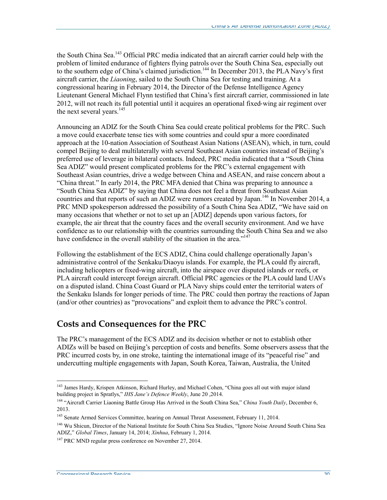the South China Sea.<sup>143</sup> Official PRC media indicated that an aircraft carrier could help with the problem of limited endurance of fighters flying patrols over the South China Sea, especially out to the southern edge of China's claimed jurisdiction.<sup>144</sup> In December 2013, the PLA Navy's first aircraft carrier, the *Liaoning*, sailed to the South China Sea for testing and training. At a congressional hearing in February 2014, the Director of the Defense Intelligence Agency Lieutenant General Michael Flynn testified that China's first aircraft carrier, commissioned in late 2012, will not reach its full potential until it acquires an operational fixed-wing air regiment over the next several years. $145$ 

Announcing an ADIZ for the South China Sea could create political problems for the PRC. Such a move could exacerbate tense ties with some countries and could spur a more coordinated approach at the 10-nation Association of Southeast Asian Nations (ASEAN), which, in turn, could compel Beijing to deal multilaterally with several Southeast Asian countries instead of Beijing's preferred use of leverage in bilateral contacts. Indeed, PRC media indicated that a "South China Sea ADIZ" would present complicated problems for the PRC's external engagement with Southeast Asian countries, drive a wedge between China and ASEAN, and raise concern about a "China threat." In early 2014, the PRC MFA denied that China was preparing to announce a "South China Sea ADIZ" by saying that China does not feel a threat from Southeast Asian countries and that reports of such an ADIZ were rumors created by Japan.<sup>146</sup> In November 2014, a PRC MND spokesperson addressed the possibility of a South China Sea ADIZ, "We have said on many occasions that whether or not to set up an [ADIZ] depends upon various factors, for example, the air threat that the country faces and the overall security environment. And we have confidence as to our relationship with the countries surrounding the South China Sea and we also have confidence in the overall stability of the situation in the area."<sup>147</sup>

Following the establishment of the ECS ADIZ, China could challenge operationally Japan's administrative control of the Senkaku/Diaoyu islands. For example, the PLA could fly aircraft, including helicopters or fixed-wing aircraft, into the airspace over disputed islands or reefs, or PLA aircraft could intercept foreign aircraft. Official PRC agencies or the PLA could land UAVs on a disputed island. China Coast Guard or PLA Navy ships could enter the territorial waters of the Senkaku Islands for longer periods of time. The PRC could then portray the reactions of Japan (and/or other countries) as "provocations" and exploit them to advance the PRC's control.

#### **Costs and Consequences for the PRC**

The PRC's management of the ECS ADIZ and its decision whether or not to establish other ADIZs will be based on Beijing's perception of costs and benefits. Some observers assess that the PRC incurred costs by, in one stroke, tainting the international image of its "peaceful rise" and undercutting multiple engagements with Japan, South Korea, Taiwan, Australia, the United

#### Congressional Research Service 30

<sup>&</sup>lt;sup>143</sup> James Hardy, Krispen Atkinson, Richard Hurley, and Michael Cohen, "China goes all out with major island building project in Spratlys," *IHS Jane's Defence Weekly*, June 20 ,2014.

<sup>144 &</sup>quot;Aircraft Carrier Liaoning Battle Group Has Arrived in the South China Sea," *China Youth Daily*, December 6, 2013.

<sup>&</sup>lt;sup>145</sup> Senate Armed Services Committee, hearing on Annual Threat Assessment, February 11, 2014.

<sup>146</sup> Wu Shicun, Director of the National Institute for South China Sea Studies, "Ignore Noise Around South China Sea ADIZ," *Global Times*, January 14, 2014; *Xinhua*, February 1, 2014.

<sup>&</sup>lt;sup>147</sup> PRC MND regular press conference on November 27, 2014.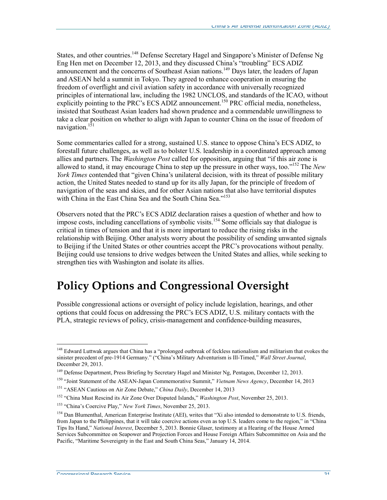States, and other countries.<sup>148</sup> Defense Secretary Hagel and Singapore's Minister of Defense Ng Eng Hen met on December 12, 2013, and they discussed China's "troubling" ECS ADIZ announcement and the concerns of Southeast Asian nations.<sup>149</sup> Days later, the leaders of Japan and ASEAN held a summit in Tokyo. They agreed to enhance cooperation in ensuring the freedom of overflight and civil aviation safety in accordance with universally recognized principles of international law, including the 1982 UNCLOS, and standards of the ICAO, without explicitly pointing to the PRC's ECS ADIZ announcement.<sup>150</sup> PRC official media, nonetheless, insisted that Southeast Asian leaders had shown prudence and a commendable unwillingness to take a clear position on whether to align with Japan to counter China on the issue of freedom of navigation. $15$ 

Some commentaries called for a strong, sustained U.S. stance to oppose China's ECS ADIZ, to forestall future challenges, as well as to bolster U.S. leadership in a coordinated approach among allies and partners. The *Washington Post* called for opposition, arguing that "if this air zone is allowed to stand, it may encourage China to step up the pressure in other ways, too."152 The *New York Times* contended that "given China's unilateral decision, with its threat of possible military action, the United States needed to stand up for its ally Japan, for the principle of freedom of navigation of the seas and skies, and for other Asian nations that also have territorial disputes with China in the East China Sea and the South China Sea."153

Observers noted that the PRC's ECS ADIZ declaration raises a question of whether and how to impose costs, including cancellations of symbolic visits.<sup>154</sup> Some officials say that dialogue is critical in times of tension and that it is more important to reduce the rising risks in the relationship with Beijing. Other analysts worry about the possibility of sending unwanted signals to Beijing if the United States or other countries accept the PRC's provocations without penalty. Beijing could use tensions to drive wedges between the United States and allies, while seeking to strengthen ties with Washington and isolate its allies.

# **Policy Options and Congressional Oversight**

Possible congressional actions or oversight of policy include legislation, hearings, and other options that could focus on addressing the PRC's ECS ADIZ, U.S. military contacts with the PLA, strategic reviews of policy, crisis-management and confidence-building measures,

<sup>&</sup>lt;sup>148</sup> Edward Luttwak argues that China has a "prolonged outbreak of feckless nationalism and militarism that evokes the sinister precedent of pre-1914 Germany." ("China's Military Adventurism is Ill-Timed," *Wall Street Journal*, December 29, 2013.

<sup>&</sup>lt;sup>149</sup> Defense Department, Press Briefing by Secretary Hagel and Minister Ng, Pentagon, December 12, 2013.

<sup>150 &</sup>quot;Joint Statement of the ASEAN-Japan Commemorative Summit," *Vietnam News Agency*, December 14, 2013

<sup>151 &</sup>quot;ASEAN Cautious on Air Zone Debate," *China Daily*, December 14, 2013

<sup>152 &</sup>quot;China Must Rescind its Air Zone Over Disputed Islands," *Washington Post*, November 25, 2013.

<sup>153 &</sup>quot;China's Coercive Play," *New York Times*, November 25, 2013.

<sup>&</sup>lt;sup>154</sup> Dan Blumenthal, American Enterprise Institute (AEI), writes that "Xi also intended to demonstrate to U.S. friends, from Japan to the Philippines, that it will take coercive actions even as top U.S. leaders come to the region," in "China Tips Its Hand," *National Interest*, December 5, 2013. Bonnie Glaser, testimony at a Hearing of the House Armed Services Subcommittee on Seapower and Projection Forces and House Foreign Affairs Subcommittee on Asia and the Pacific, "Maritime Sovereignty in the East and South China Seas," January 14, 2014.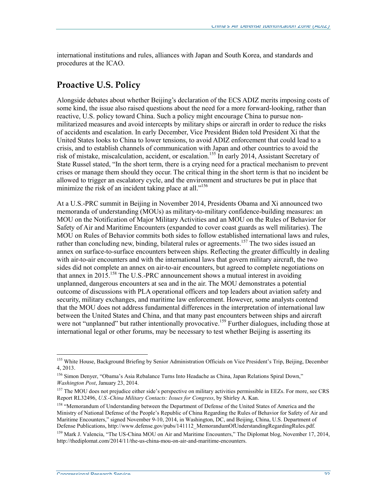international institutions and rules, alliances with Japan and South Korea, and standards and procedures at the ICAO.

#### **Proactive U.S. Policy**

Alongside debates about whether Beijing's declaration of the ECS ADIZ merits imposing costs of some kind, the issue also raised questions about the need for a more forward-looking, rather than reactive, U.S. policy toward China. Such a policy might encourage China to pursue nonmilitarized measures and avoid intercepts by military ships or aircraft in order to reduce the risks of accidents and escalation. In early December, Vice President Biden told President Xi that the United States looks to China to lower tensions, to avoid ADIZ enforcement that could lead to a crisis, and to establish channels of communication with Japan and other countries to avoid the risk of mistake, miscalculation, accident, or escalation.<sup>155</sup> In early 2014, Assistant Secretary of State Russel stated, "In the short term, there is a crying need for a practical mechanism to prevent crises or manage them should they occur. The critical thing in the short term is that no incident be allowed to trigger an escalatory cycle, and the environment and structures be put in place that minimize the risk of an incident taking place at all."<sup>156</sup>

At a U.S.-PRC summit in Beijing in November 2014, Presidents Obama and Xi announced two memoranda of understanding (MOUs) as military-to-military confidence-building measures: an MOU on the Notification of Major Military Activities and an MOU on the Rules of Behavior for Safety of Air and Maritime Encounters (expanded to cover coast guards as well militaries). The MOU on Rules of Behavior commits both sides to follow established international laws and rules, rather than concluding new, binding, bilateral rules or agreements.<sup>157</sup> The two sides issued an annex on surface-to-surface encounters between ships. Reflecting the greater difficultly in dealing with air-to-air encounters and with the international laws that govern military aircraft, the two sides did not complete an annex on air-to-air encounters, but agreed to complete negotiations on that annex in  $2015$ .<sup>158</sup> The U.S.-PRC announcement shows a mutual interest in avoiding unplanned, dangerous encounters at sea and in the air. The MOU demonstrates a potential outcome of discussions with PLA operational officers and top leaders about aviation safety and security, military exchanges, and maritime law enforcement. However, some analysts contend that the MOU does not address fundamental differences in the interpretation of international law between the United States and China, and that many past encounters between ships and aircraft were not "unplanned" but rather intentionally provocative.<sup>159</sup> Further dialogues, including those at international legal or other forums, may be necessary to test whether Beijing is asserting its

<sup>&</sup>lt;sup>155</sup> White House, Background Briefing by Senior Administration Officials on Vice President's Trip, Beijing, December 4, 2013.

<sup>&</sup>lt;sup>156</sup> Simon Denyer, "Obama's Asia Rebalance Turns Into Headache as China, Japan Relations Spiral Down," *Washington Post*, January 23, 2014.

<sup>&</sup>lt;sup>157</sup> The MOU does not prejudice either side's perspective on military activities permissible in EEZs. For more, see CRS Report RL32496, *U.S.-China Military Contacts: Issues for Congress*, by Shirley A. Kan.

<sup>&</sup>lt;sup>158</sup> "Memorandum of Understanding between the Department of Defense of the United States of America and the Ministry of National Defense of the People's Republic of China Regarding the Rules of Behavior for Safety of Air and Maritime Encounters," signed November 9-10, 2014, in Washington, DC, and Beijing, China, U.S. Department of Defense Publications, http://www.defense.gov/pubs/141112\_MemorandumOfUnderstandingRegardingRules.pdf.

<sup>&</sup>lt;sup>159</sup> Mark J. Valencia, "The US-China MOU on Air and Maritime Encounters," The Diplomat blog, November 17, 2014, http://thediplomat.com/2014/11/the-us-china-mou-on-air-and-maritime-encounters.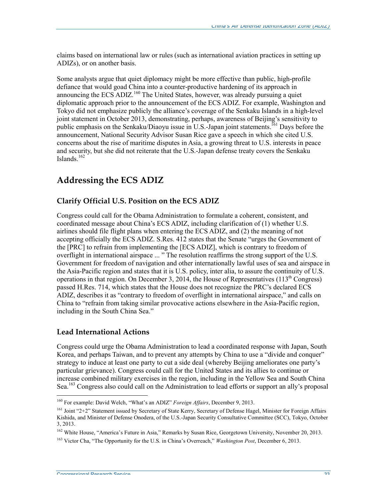claims based on international law or rules (such as international aviation practices in setting up ADIZs), or on another basis.

Some analysts argue that quiet diplomacy might be more effective than public, high-profile defiance that would goad China into a counter-productive hardening of its approach in announcing the ECS ADIZ.<sup>160</sup> The United States, however, was already pursuing a quiet diplomatic approach prior to the announcement of the ECS ADIZ. For example, Washington and Tokyo did not emphasize publicly the alliance's coverage of the Senkaku Islands in a high-level joint statement in October 2013, demonstrating, perhaps, awareness of Beijing's sensitivity to public emphasis on the Senkaku/Diaoyu issue in U.S.-Japan joint statements.<sup>161</sup> Days before the announcement, National Security Advisor Susan Rice gave a speech in which she cited U.S. concerns about the rise of maritime disputes in Asia, a growing threat to U.S. interests in peace and security, but she did not reiterate that the U.S.-Japan defense treaty covers the Senkaku Islands $162$ 

### **Addressing the ECS ADIZ**

#### **Clarify Official U.S. Position on the ECS ADIZ**

Congress could call for the Obama Administration to formulate a coherent, consistent, and coordinated message about China's ECS ADIZ, including clarification of (1) whether U.S. airlines should file flight plans when entering the ECS ADIZ, and (2) the meaning of not accepting officially the ECS ADIZ. S.Res. 412 states that the Senate "urges the Government of the [PRC] to refrain from implementing the [ECS ADIZ], which is contrary to freedom of overflight in international airspace ... " The resolution reaffirms the strong support of the U.S. Government for freedom of navigation and other internationally lawful uses of sea and airspace in the Asia-Pacific region and states that it is U.S. policy, inter alia, to assure the continuity of U.S. operations in that region. On December 3, 2014, the House of Representatives  $(113<sup>th</sup> Congress)$ passed H.Res. 714, which states that the House does not recognize the PRC's declared ECS ADIZ, describes it as "contrary to freedom of overflight in international airspace," and calls on China to "refrain from taking similar provocative actions elsewhere in the Asia-Pacific region, including in the South China Sea."

#### **Lead International Actions**

Congress could urge the Obama Administration to lead a coordinated response with Japan, South Korea, and perhaps Taiwan, and to prevent any attempts by China to use a "divide and conquer" strategy to induce at least one party to cut a side deal (whereby Beijing ameliorates one party's particular grievance). Congress could call for the United States and its allies to continue or increase combined military exercises in the region, including in the Yellow Sea and South China Sea.<sup>163</sup> Congress also could call on the Administration to lead efforts or support an ally's proposal

<sup>160</sup> For example: David Welch, "What's an ADIZ" *Foreign Affairs*, December 9, 2013.

<sup>161</sup> Joint "2+2" Statement issued by Secretary of State Kerry, Secretary of Defense Hagel, Minister for Foreign Affairs Kishida, and Minister of Defense Onodera, of the U.S.-Japan Security Consultative Committee (SCC), Tokyo, October 3, 2013.

<sup>&</sup>lt;sup>162</sup> White House, "America's Future in Asia," Remarks by Susan Rice, Georgetown University, November 20, 2013.

<sup>163</sup> Victor Cha, "The Opportunity for the U.S. in China's Overreach," *Washington Post*, December 6, 2013.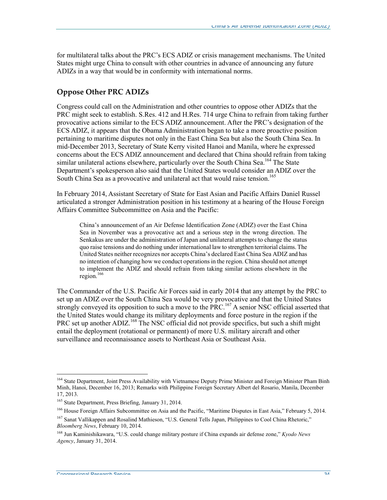for multilateral talks about the PRC's ECS ADIZ or crisis management mechanisms. The United States might urge China to consult with other countries in advance of announcing any future ADIZs in a way that would be in conformity with international norms.

#### **Oppose Other PRC ADIZs**

Congress could call on the Administration and other countries to oppose other ADIZs that the PRC might seek to establish. S.Res. 412 and H.Res. 714 urge China to refrain from taking further provocative actions similar to the ECS ADIZ announcement. After the PRC's designation of the ECS ADIZ, it appears that the Obama Administration began to take a more proactive position pertaining to maritime disputes not only in the East China Sea but also the South China Sea. In mid-December 2013, Secretary of State Kerry visited Hanoi and Manila, where he expressed concerns about the ECS ADIZ announcement and declared that China should refrain from taking similar unilateral actions elsewhere, particularly over the South China Sea.<sup>164</sup> The State Department's spokesperson also said that the United States would consider an ADIZ over the South China Sea as a provocative and unilateral act that would raise tension.<sup>165</sup>

In February 2014, Assistant Secretary of State for East Asian and Pacific Affairs Daniel Russel articulated a stronger Administration position in his testimony at a hearing of the House Foreign Affairs Committee Subcommittee on Asia and the Pacific:

China's announcement of an Air Defense Identification Zone (ADIZ) over the East China Sea in November was a provocative act and a serious step in the wrong direction. The Senkakus are under the administration of Japan and unilateral attempts to change the status quo raise tensions and do nothing under international law to strengthen territorial claims. The United States neither recognizes nor accepts China's declared East China Sea ADIZ and has no intention of changing how we conduct operations in the region. China should not attempt to implement the ADIZ and should refrain from taking similar actions elsewhere in the region. $166$ 

The Commander of the U.S. Pacific Air Forces said in early 2014 that any attempt by the PRC to set up an ADIZ over the South China Sea would be very provocative and that the United States strongly conveyed its opposition to such a move to the PRC.<sup>167</sup> A senior NSC official asserted that the United States would change its military deployments and force posture in the region if the PRC set up another ADIZ.<sup>168</sup> The NSC official did not provide specifics, but such a shift might entail the deployment (rotational or permanent) of more U.S. military aircraft and other surveillance and reconnaissance assets to Northeast Asia or Southeast Asia.

<sup>&</sup>lt;sup>164</sup> State Department, Joint Press Availability with Vietnamese Deputy Prime Minister and Foreign Minister Pham Binh Minh, Hanoi, December 16, 2013; Remarks with Philippine Foreign Secretary Albert del Rosario, Manila, December 17, 2013.

<sup>165</sup> State Department, Press Briefing, January 31, 2014.

<sup>166</sup> House Foreign Affairs Subcommittee on Asia and the Pacific, "Maritime Disputes in East Asia," February 5, 2014.

<sup>&</sup>lt;sup>167</sup> Sanat Vallikappen and Rosalind Mathieson, "U.S. General Tells Japan, Philippines to Cool China Rhetoric," *Bloomberg News*, February 10, 2014.

<sup>168</sup> Jun Kaminishikawara, "U.S. could change military posture if China expands air defense zone," *Kyodo News Agency*, January 31, 2014.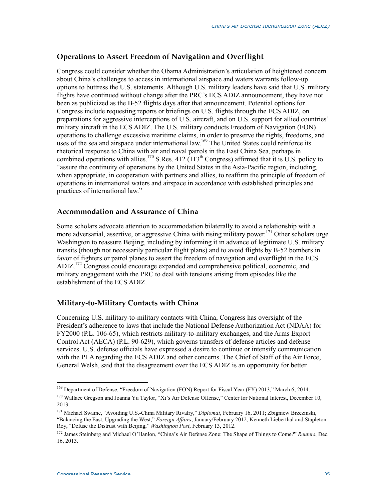#### **Operations to Assert Freedom of Navigation and Overflight**

Congress could consider whether the Obama Administration's articulation of heightened concern about China's challenges to access in international airspace and waters warrants follow-up options to buttress the U.S. statements. Although U.S. military leaders have said that U.S. military flights have continued without change after the PRC's ECS ADIZ announcement, they have not been as publicized as the B-52 flights days after that announcement. Potential options for Congress include requesting reports or briefings on U.S. flights through the ECS ADIZ, on preparations for aggressive interceptions of U.S. aircraft, and on U.S. support for allied countries' military aircraft in the ECS ADIZ. The U.S. military conducts Freedom of Navigation (FON) operations to challenge excessive maritime claims, in order to preserve the rights, freedoms, and uses of the sea and airspace under international law.<sup>169</sup> The United States could reinforce its rhetorical response to China with air and naval patrols in the East China Sea, perhaps in combined operations with allies.<sup>170</sup> S.Res. 412 (113<sup>th</sup> Congress) affirmed that it is U.S. policy to "assure the continuity of operations by the United States in the Asia-Pacific region, including, when appropriate, in cooperation with partners and allies, to reaffirm the principle of freedom of operations in international waters and airspace in accordance with established principles and practices of international law."

#### **Accommodation and Assurance of China**

Some scholars advocate attention to accommodation bilaterally to avoid a relationship with a more adversarial, assertive, or aggressive China with rising military power.<sup>171</sup> Other scholars urge Washington to reassure Beijing, including by informing it in advance of legitimate U.S. military transits (though not necessarily particular flight plans) and to avoid flights by B-52 bombers in favor of fighters or patrol planes to assert the freedom of navigation and overflight in the ECS ADIZ.<sup>172</sup> Congress could encourage expanded and comprehensive political, economic, and military engagement with the PRC to deal with tensions arising from episodes like the establishment of the ECS ADIZ.

#### **Military-to-Military Contacts with China**

Concerning U.S. military-to-military contacts with China, Congress has oversight of the President's adherence to laws that include the National Defense Authorization Act (NDAA) for FY2000 (P.L. 106-65), which restricts military-to-military exchanges, and the Arms Export Control Act (AECA) (P.L. 90-629), which governs transfers of defense articles and defense services. U.S. defense officials have expressed a desire to continue or intensify communication with the PLA regarding the ECS ADIZ and other concerns. The Chief of Staff of the Air Force, General Welsh, said that the disagreement over the ECS ADIZ is an opportunity for better

<sup>&</sup>lt;sup>169</sup> Department of Defense, "Freedom of Navigation (FON) Report for Fiscal Year (FY) 2013," March 6, 2014.

<sup>&</sup>lt;sup>170</sup> Wallace Gregson and Joanna Yu Taylor, "Xi's Air Defense Offense," Center for National Interest, December 10, 2013.

<sup>171</sup> Michael Swaine, "Avoiding U.S.-China Military Rivalry," *Diplomat*, February 16, 2011; Zbigniew Brzezinski, "Balancing the East, Upgrading the West," *Foreign Affairs*, January/February 2012; Kenneth Lieberthal and Stapleton Roy, "Defuse the Distrust with Beijing," *Washington Post*, February 13, 2012.

<sup>172</sup> James Steinberg and Michael O'Hanlon, "China's Air Defense Zone: The Shape of Things to Come?" *Reuters*, Dec. 16, 2013.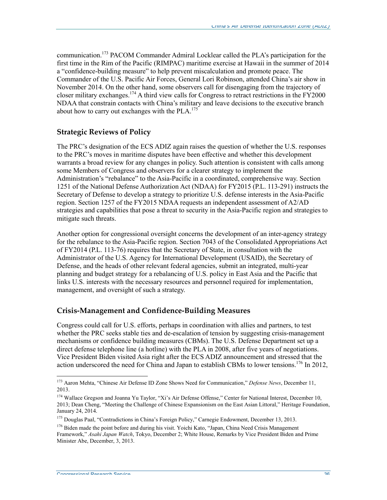communication.<sup>173</sup> PACOM Commander Admiral Locklear called the PLA's participation for the first time in the Rim of the Pacific (RIMPAC) maritime exercise at Hawaii in the summer of 2014 a "confidence-building measure" to help prevent miscalculation and promote peace. The Commander of the U.S. Pacific Air Forces, General Lori Robinson, attended China's air show in November 2014. On the other hand, some observers call for disengaging from the trajectory of closer military exchanges.<sup>174</sup> A third view calls for Congress to retract restrictions in the FY2000 NDAA that constrain contacts with China's military and leave decisions to the executive branch about how to carry out exchanges with the  $PLA$ <sup>175</sup>

#### **Strategic Reviews of Policy**

The PRC's designation of the ECS ADIZ again raises the question of whether the U.S. responses to the PRC's moves in maritime disputes have been effective and whether this development warrants a broad review for any changes in policy. Such attention is consistent with calls among some Members of Congress and observers for a clearer strategy to implement the Administration's "rebalance" to the Asia-Pacific in a coordinated, comprehensive way. Section 1251 of the National Defense Authorization Act (NDAA) for FY2015 (P.L. 113-291) instructs the Secretary of Defense to develop a strategy to prioritize U.S. defense interests in the Asia-Pacific region. Section 1257 of the FY2015 NDAA requests an independent assessment of A2/AD strategies and capabilities that pose a threat to security in the Asia-Pacific region and strategies to mitigate such threats.

Another option for congressional oversight concerns the development of an inter-agency strategy for the rebalance to the Asia-Pacific region. Section 7043 of the Consolidated Appropriations Act of FY2014 (P.L. 113-76) requires that the Secretary of State, in consultation with the Administrator of the U.S. Agency for International Development (USAID), the Secretary of Defense, and the heads of other relevant federal agencies, submit an integrated, multi-year planning and budget strategy for a rebalancing of U.S. policy in East Asia and the Pacific that links U.S. interests with the necessary resources and personnel required for implementation, management, and oversight of such a strategy.

#### **Crisis-Management and Confidence-Building Measures**

Congress could call for U.S. efforts, perhaps in coordination with allies and partners, to test whether the PRC seeks stable ties and de-escalation of tension by suggesting crisis-management mechanisms or confidence building measures (CBMs). The U.S. Defense Department set up a direct defense telephone line (a hotline) with the PLA in 2008, after five years of negotiations. Vice President Biden visited Asia right after the ECS ADIZ announcement and stressed that the action underscored the need for China and Japan to establish CBMs to lower tensions.<sup>176</sup> In 2012,

<sup>173</sup> Aaron Mehta, "Chinese Air Defense ID Zone Shows Need for Communication," *Defense News*, December 11, 2013.

<sup>&</sup>lt;sup>174</sup> Wallace Gregson and Joanna Yu Taylor, "Xi's Air Defense Offense," Center for National Interest, December 10, 2013; Dean Cheng, "Meeting the Challenge of Chinese Expansionism on the East Asian Littoral," Heritage Foundation, January 24, 2014.

<sup>&</sup>lt;sup>175</sup> Douglas Paal, "Contradictions in China's Foreign Policy," Carnegie Endowment, December 13, 2013.

<sup>&</sup>lt;sup>176</sup> Biden made the point before and during his visit. Yoichi Kato, "Japan, China Need Crisis Management Framework," *Asahi Japan Watch*, Tokyo, December 2; White House, Remarks by Vice President Biden and Prime Minister Abe, December, 3, 2013.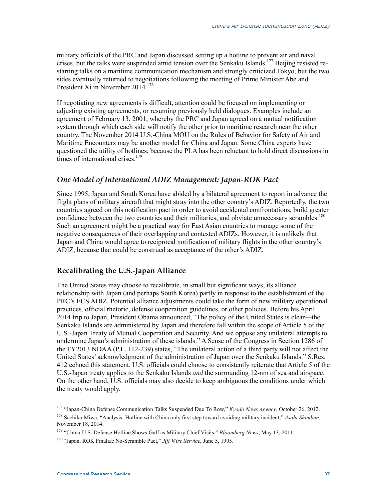military officials of the PRC and Japan discussed setting up a hotline to prevent air and naval crises, but the talks were suspended amid tension over the Senkaku Islands.<sup>177</sup> Beijing resisted restarting talks on a maritime communication mechanism and strongly criticized Tokyo, but the two sides eventually returned to negotiations following the meeting of Prime Minister Abe and President Xi in November 2014.178

If negotiating new agreements is difficult, attention could be focused on implementing or adjusting existing agreements, or resuming previously held dialogues. Examples include an agreement of February 13, 2001, whereby the PRC and Japan agreed on a mutual notification system through which each side will notify the other prior to maritime research near the other country. The November 2014 U.S.-China MOU on the Rules of Behavior for Safety of Air and Maritime Encounters may be another model for China and Japan. Some China experts have questioned the utility of hotlines, because the PLA has been reluctant to hold direct discussions in times of international crises.<sup>179</sup>

#### *One Model of International ADIZ Management: Japan-ROK Pact*

Since 1995, Japan and South Korea have abided by a bilateral agreement to report in advance the flight plans of military aircraft that might stray into the other country's ADIZ. Reportedly, the two countries agreed on this notification pact in order to avoid accidental confrontations, build greater confidence between the two countries and their militaries, and obviate unnecessary scrambles.<sup>180</sup> Such an agreement might be a practical way for East Asian countries to manage some of the negative consequences of their overlapping and contested ADIZs. However, it is unlikely that Japan and China would agree to reciprocal notification of military flights in the other country's ADIZ, because that could be construed as acceptance of the other's ADIZ.

#### **Recalibrating the U.S.-Japan Alliance**

The United States may choose to recalibrate, in small but significant ways, its alliance relationship with Japan (and perhaps South Korea) partly in response to the establishment of the PRC's ECS ADIZ. Potential alliance adjustments could take the form of new military operational practices, official rhetoric, defense cooperation guidelines, or other policies. Before his April 2014 trip to Japan, President Obama announced, "The policy of the United States is clear—the Senkaku Islands are administered by Japan and therefore fall within the scope of Article 5 of the U.S.-Japan Treaty of Mutual Cooperation and Security. And we oppose any unilateral attempts to undermine Japan's administration of these islands." A Sense of the Congress in Section 1286 of the FY2013 NDAA (P.L. 112-239) states, "The unilateral action of a third party will not affect the United States' acknowledgment of the administration of Japan over the Senkaku Islands." S.Res. 412 echoed this statement. U.S. officials could choose to consistently reiterate that Article 5 of the U.S.-Japan treaty applies to the Senkaku Islands *and* the surrounding 12-nm of sea and airspace. On the other hand, U.S. officials may also decide to keep ambiguous the conditions under which the treaty would apply.

<sup>177 &</sup>quot;Japan-China Defense Communication Talks Suspended Due To Row," *Kyodo News Agency*, October 26, 2012. 178 Sachiko Miwa, "Analysis: Hotline with China only first step toward avoiding military incident," *Asahi Shimbun*, November 18, 2014.

<sup>179 &</sup>quot;China-U.S. Defense Hotline Shows Gulf as Military Chief Visits," *Bloomberg News*, May 13, 2011.

<sup>180 &</sup>quot;Japan, ROK Finalize No-Scramble Pact," *Jiji Wire Service*, June 5, 1995.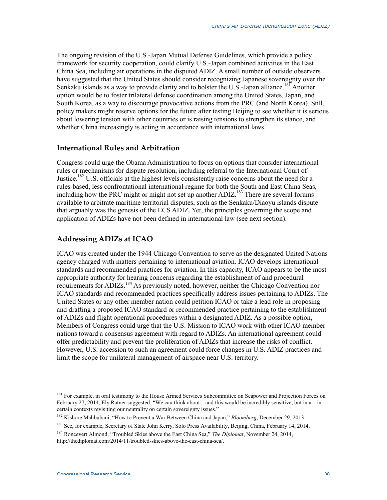The ongoing revision of the U.S.-Japan Mutual Defense Guidelines, which provide a policy framework for security cooperation, could clarify U.S.-Japan combined activities in the East China Sea, including air operations in the disputed ADIZ. A small number of outside observers have suggested that the United States should consider recognizing Japanese sovereignty over the Senkaku islands as a way to provide clarity and to bolster the U.S.-Japan alliance.<sup>181</sup> Another option would be to foster trilateral defense coordination among the United States, Japan, and South Korea, as a way to discourage provocative actions from the PRC (and North Korea). Still, policy makers might reserve options for the future after testing Beijing to see whether it is serious about lowering tension with other countries or is raising tensions to strengthen its stance, and whether China increasingly is acting in accordance with international laws.

#### **International Rules and Arbitration**

Congress could urge the Obama Administration to focus on options that consider international rules or mechanisms for dispute resolution, including referral to the International Court of Justice.<sup>182</sup> U.S. officials at the highest levels consistently raise concerns about the need for a rules-based, less confrontational international regime for both the South and East China Seas, including how the PRC might or might not set up another  $ADIZ$ <sup>183</sup>. There are several forums available to arbitrate maritime territorial disputes, such as the Senkaku/Diaoyu islands dispute that arguably was the genesis of the ECS ADIZ. Yet, the principles governing the scope and application of ADIZs have not been defined in international law (see next section).

#### **Addressing ADIZs at ICAO**

ICAO was created under the 1944 Chicago Convention to serve as the designated United Nations agency charged with matters pertaining to international aviation. ICAO develops international standards and recommended practices for aviation. In this capacity, ICAO appears to be the most appropriate authority for hearing concerns regarding the establishment of and procedural requirements for ADIZs.<sup>184</sup> As previously noted, however, neither the Chicago Convention nor ICAO standards and recommended practices specifically address issues pertaining to ADIZs. The United States or any other member nation could petition ICAO or take a lead role in proposing and drafting a proposed ICAO standard or recommended practice pertaining to the establishment of ADIZs and flight operational procedures within a designated ADIZ. As a possible option, Members of Congress could urge that the U.S. Mission to ICAO work with other ICAO member nations toward a consensus agreement with regard to ADIZs. An international agreement could offer predictability and prevent the proliferation of ADIZs that increase the risks of conflict. However, U.S. accession to such an agreement could force changes in U.S. ADIZ practices and limit the scope for unilateral management of airspace near U.S. territory.

<sup>&</sup>lt;sup>181</sup> For example, in oral testimony to the House Armed Services Subcommittee on Seapower and Projection Forces on February 27, 2014, Ely Ratner suggested, "We can think about – and this would be incredibly sensitive, but in a – in certain contexts revisiting our neutrality on certain sovereignty issues."

<sup>182</sup> Kishore Mahbubani, "How to Prevent a War Between China and Japan," *Bloomberg*, December 29, 2013.

<sup>&</sup>lt;sup>183</sup> See, for example, Secretary of State John Kerry, Solo Press Availability, Beijing, China, February 14, 2014.

<sup>184</sup> Roncevert Almond, "Troubled Skies above the East China Sea," *The Diplomat*, November 24, 2014, http://thediplomat.com/2014/11/troubled-skies-above-the-east-china-sea/.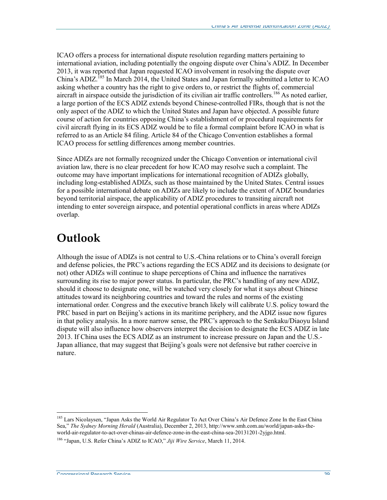ICAO offers a process for international dispute resolution regarding matters pertaining to international aviation, including potentially the ongoing dispute over China's ADIZ. In December 2013, it was reported that Japan requested ICAO involvement in resolving the dispute over China's ADIZ.<sup>185</sup> In March 2014, the United States and Japan formally submitted a letter to ICAO asking whether a country has the right to give orders to, or restrict the flights of, commercial aircraft in airspace outside the jurisdiction of its civilian air traffic controllers.<sup>186</sup> As noted earlier, a large portion of the ECS ADIZ extends beyond Chinese-controlled FIRs, though that is not the only aspect of the ADIZ to which the United States and Japan have objected. A possible future course of action for countries opposing China's establishment of or procedural requirements for civil aircraft flying in its ECS ADIZ would be to file a formal complaint before ICAO in what is referred to as an Article 84 filing. Article 84 of the Chicago Convention establishes a formal ICAO process for settling differences among member countries.

Since ADIZs are not formally recognized under the Chicago Convention or international civil aviation law, there is no clear precedent for how ICAO may resolve such a complaint. The outcome may have important implications for international recognition of ADIZs globally, including long-established ADIZs, such as those maintained by the United States. Central issues for a possible international debate on ADIZs are likely to include the extent of ADIZ boundaries beyond territorial airspace, the applicability of ADIZ procedures to transiting aircraft not intending to enter sovereign airspace, and potential operational conflicts in areas where ADIZs overlap.

# **Outlook**

Although the issue of ADIZs is not central to U.S.-China relations or to China's overall foreign and defense policies, the PRC's actions regarding the ECS ADIZ and its decisions to designate (or not) other ADIZs will continue to shape perceptions of China and influence the narratives surrounding its rise to major power status. In particular, the PRC's handling of any new ADIZ, should it choose to designate one, will be watched very closely for what it says about Chinese attitudes toward its neighboring countries and toward the rules and norms of the existing international order. Congress and the executive branch likely will calibrate U.S. policy toward the PRC based in part on Beijing's actions in its maritime periphery, and the ADIZ issue now figures in that policy analysis. In a more narrow sense, the PRC's approach to the Senkaku/Diaoyu Island dispute will also influence how observers interpret the decision to designate the ECS ADIZ in late 2013. If China uses the ECS ADIZ as an instrument to increase pressure on Japan and the U.S.- Japan alliance, that may suggest that Beijing's goals were not defensive but rather coercive in nature.

<sup>&</sup>lt;sup>185</sup> Lars Nicolaysen, "Japan Asks the World Air Regulator To Act Over China's Air Defence Zone In the East China Sea," *The Sydney Morning Herald* (Australia), December 2, 2013, http://www.smh.com.au/world/japan-asks-theworld-air-regulator-to-act-over-chinas-air-defence-zone-in-the-east-china-sea-20131201-2yjgo.html.

<sup>186 &</sup>quot;Japan, U.S. Refer China's ADIZ to ICAO," *Jiji Wire Service*, March 11, 2014.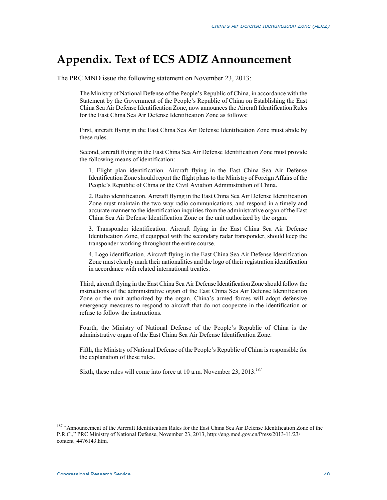# **Appendix. Text of ECS ADIZ Announcement**

The PRC MND issue the following statement on November 23, 2013:

The Ministry of National Defense of the People's Republic of China, in accordance with the Statement by the Government of the People's Republic of China on Establishing the East China Sea Air Defense Identification Zone, now announces the Aircraft Identification Rules for the East China Sea Air Defense Identification Zone as follows:

First, aircraft flying in the East China Sea Air Defense Identification Zone must abide by these rules.

Second, aircraft flying in the East China Sea Air Defense Identification Zone must provide the following means of identification:

1. Flight plan identification. Aircraft flying in the East China Sea Air Defense Identification Zone should report the flight plans to the Ministry of Foreign Affairs of the People's Republic of China or the Civil Aviation Administration of China.

2. Radio identification. Aircraft flying in the East China Sea Air Defense Identification Zone must maintain the two-way radio communications, and respond in a timely and accurate manner to the identification inquiries from the administrative organ of the East China Sea Air Defense Identification Zone or the unit authorized by the organ.

3. Transponder identification. Aircraft flying in the East China Sea Air Defense Identification Zone, if equipped with the secondary radar transponder, should keep the transponder working throughout the entire course.

4. Logo identification. Aircraft flying in the East China Sea Air Defense Identification Zone must clearly mark their nationalities and the logo of their registration identification in accordance with related international treaties.

Third, aircraft flying in the East China Sea Air Defense Identification Zone should follow the instructions of the administrative organ of the East China Sea Air Defense Identification Zone or the unit authorized by the organ. China's armed forces will adopt defensive emergency measures to respond to aircraft that do not cooperate in the identification or refuse to follow the instructions.

Fourth, the Ministry of National Defense of the People's Republic of China is the administrative organ of the East China Sea Air Defense Identification Zone.

Fifth, the Ministry of National Defense of the People's Republic of China is responsible for the explanation of these rules.

Sixth, these rules will come into force at 10 a.m. November  $23$ ,  $2013$ .<sup>187</sup>

<sup>&</sup>lt;sup>187</sup> "Announcement of the Aircraft Identification Rules for the East China Sea Air Defense Identification Zone of the P.R.C.," PRC Ministry of National Defense, November 23, 2013, http://eng.mod.gov.cn/Press/2013-11/23/ content\_4476143.htm.